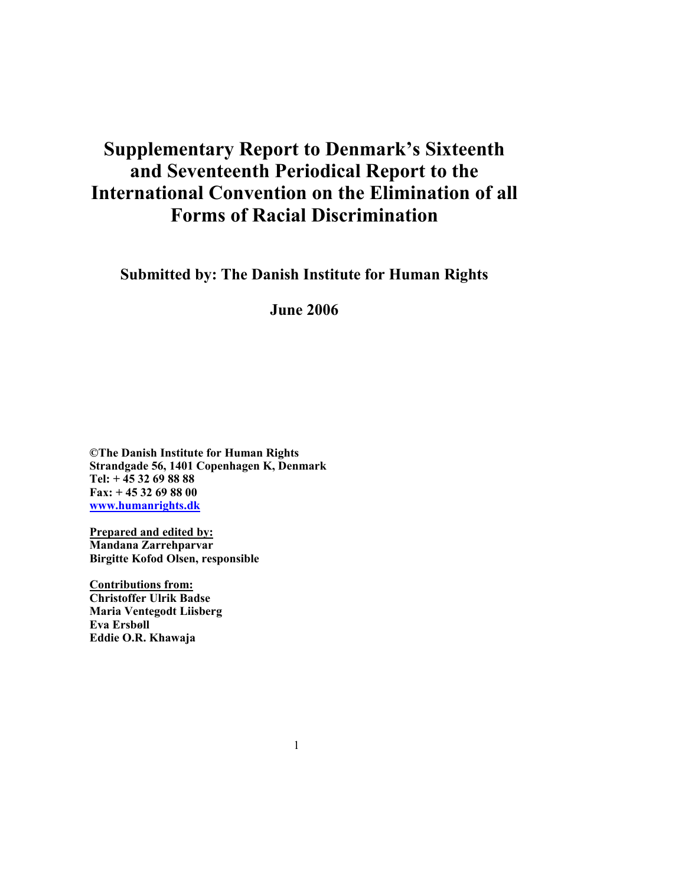# **Supplementary Report to Denmark's Sixteenth and Seventeenth Periodical Report to the International Convention on the Elimination of all Forms of Racial Discrimination**

**Submitted by: The Danish Institute for Human Rights** 

**June 2006** 

**©The Danish Institute for Human Rights Strandgade 56, 1401 Copenhagen K, Denmark Tel: + 45 32 69 88 88 Fax: + 45 32 69 88 00 www.humanrights.dk**

**Prepared and edited by: Mandana Zarrehparvar Birgitte Kofod Olsen, responsible** 

**Contributions from: Christoffer Ulrik Badse Maria Ventegodt Liisberg Eva Ersbøll Eddie O.R. Khawaja**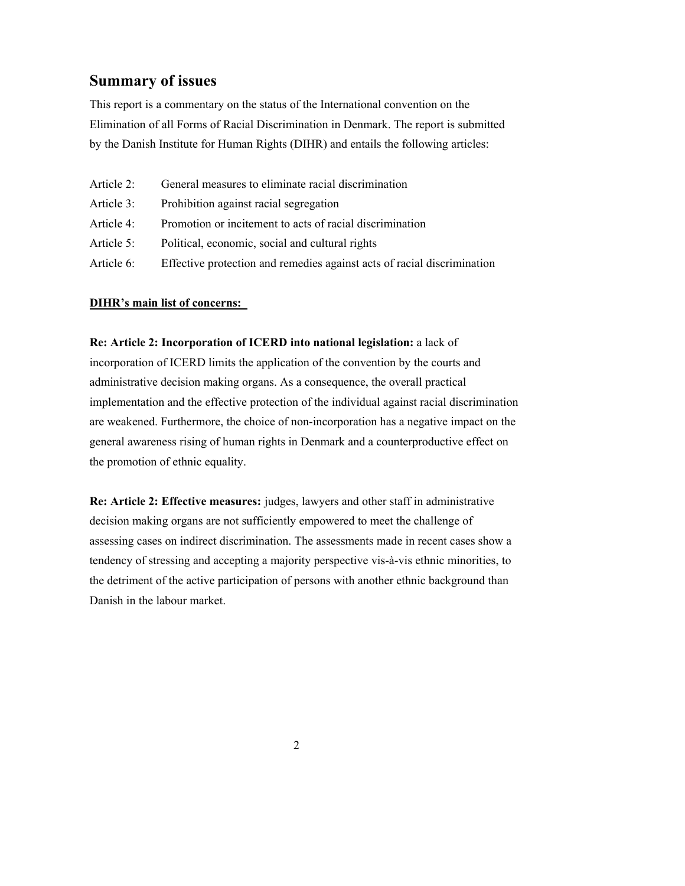## **Summary of issues**

This report is a commentary on the status of the International convention on the Elimination of all Forms of Racial Discrimination in Denmark. The report is submitted by the Danish Institute for Human Rights (DIHR) and entails the following articles:

| Article 2: | General measures to eliminate racial discrimination                     |
|------------|-------------------------------------------------------------------------|
| Article 3: | Prohibition against racial segregation                                  |
| Article 4: | Promotion or incitement to acts of racial discrimination                |
| Article 5: | Political, economic, social and cultural rights                         |
| Article 6: | Effective protection and remedies against acts of racial discrimination |

#### **DIHR's main list of concerns:**

**Re: Article 2: Incorporation of ICERD into national legislation:** a lack of incorporation of ICERD limits the application of the convention by the courts and administrative decision making organs. As a consequence, the overall practical implementation and the effective protection of the individual against racial discrimination are weakened. Furthermore, the choice of non-incorporation has a negative impact on the general awareness rising of human rights in Denmark and a counterproductive effect on the promotion of ethnic equality.

**Re: Article 2: Effective measures:** judges, lawyers and other staff in administrative decision making organs are not sufficiently empowered to meet the challenge of assessing cases on indirect discrimination. The assessments made in recent cases show a tendency of stressing and accepting a majority perspective vis-à-vis ethnic minorities, to the detriment of the active participation of persons with another ethnic background than Danish in the labour market.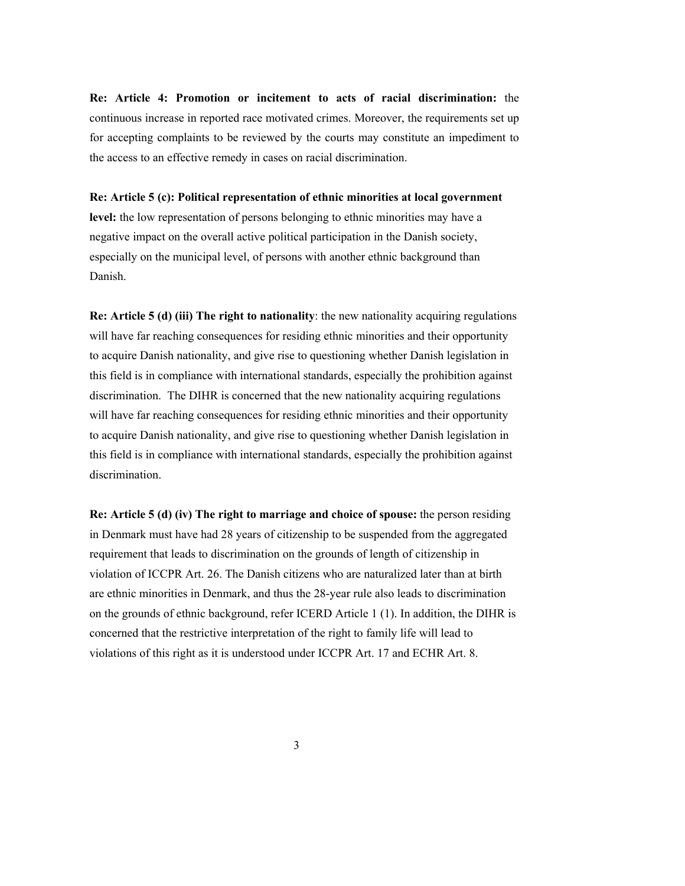**Re: Article 4: Promotion or incitement to acts of racial discrimination:** the continuous increase in reported race motivated crimes. Moreover, the requirements set up for accepting complaints to be reviewed by the courts may constitute an impediment to the access to an effective remedy in cases on racial discrimination.

#### **Re: Article 5 (c): Political representation of ethnic minorities at local government**

**level:** the low representation of persons belonging to ethnic minorities may have a negative impact on the overall active political participation in the Danish society, especially on the municipal level, of persons with another ethnic background than Danish.

**Re: Article 5 (d) (iii) The right to nationality**: the new nationality acquiring regulations will have far reaching consequences for residing ethnic minorities and their opportunity to acquire Danish nationality, and give rise to questioning whether Danish legislation in this field is in compliance with international standards, especially the prohibition against discrimination. The DIHR is concerned that the new nationality acquiring regulations will have far reaching consequences for residing ethnic minorities and their opportunity to acquire Danish nationality, and give rise to questioning whether Danish legislation in this field is in compliance with international standards, especially the prohibition against discrimination.

**Re: Article 5 (d) (iv) The right to marriage and choice of spouse:** the person residing in Denmark must have had 28 years of citizenship to be suspended from the aggregated requirement that leads to discrimination on the grounds of length of citizenship in violation of ICCPR Art. 26. The Danish citizens who are naturalized later than at birth are ethnic minorities in Denmark, and thus the 28-year rule also leads to discrimination on the grounds of ethnic background, refer ICERD Article 1 (1). In addition, the DIHR is concerned that the restrictive interpretation of the right to family life will lead to violations of this right as it is understood under ICCPR Art. 17 and ECHR Art. 8.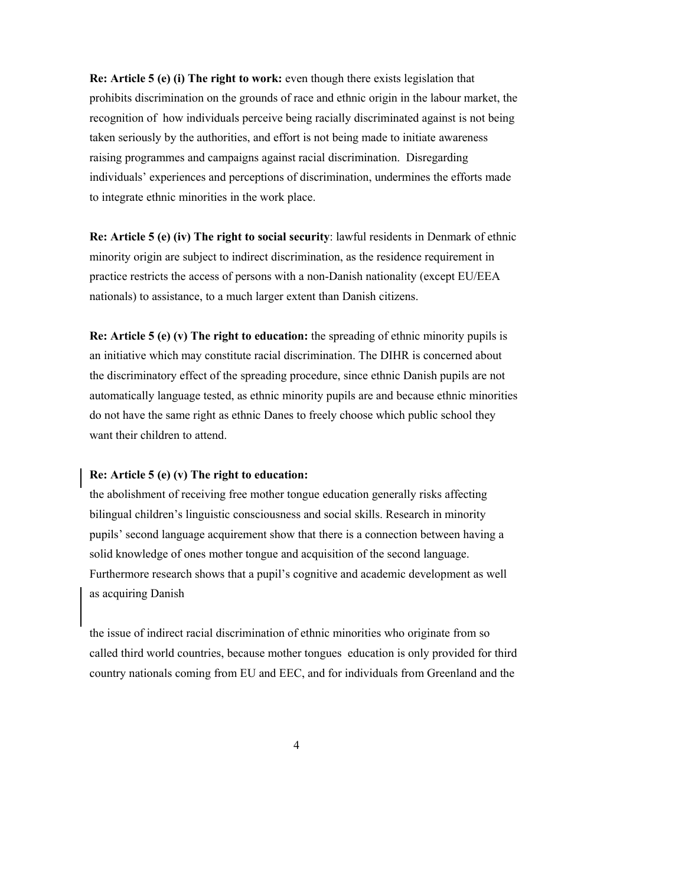**Re: Article 5 (e) (i) The right to work:** even though there exists legislation that prohibits discrimination on the grounds of race and ethnic origin in the labour market, the recognition of how individuals perceive being racially discriminated against is not being taken seriously by the authorities, and effort is not being made to initiate awareness raising programmes and campaigns against racial discrimination. Disregarding individuals' experiences and perceptions of discrimination, undermines the efforts made to integrate ethnic minorities in the work place.

**Re: Article 5 (e) (iv) The right to social security**: lawful residents in Denmark of ethnic minority origin are subject to indirect discrimination, as the residence requirement in practice restricts the access of persons with a non-Danish nationality (except EU/EEA nationals) to assistance, to a much larger extent than Danish citizens.

**Re: Article 5 (e) (v) The right to education:** the spreading of ethnic minority pupils is an initiative which may constitute racial discrimination. The DIHR is concerned about the discriminatory effect of the spreading procedure, since ethnic Danish pupils are not automatically language tested, as ethnic minority pupils are and because ethnic minorities do not have the same right as ethnic Danes to freely choose which public school they want their children to attend.

#### **Re: Article 5 (e) (v) The right to education:**

the abolishment of receiving free mother tongue education generally risks affecting bilingual children's linguistic consciousness and social skills. Research in minority pupils' second language acquirement show that there is a connection between having a solid knowledge of ones mother tongue and acquisition of the second language. Furthermore research shows that a pupil's cognitive and academic development as well as acquiring Danish

the issue of indirect racial discrimination of ethnic minorities who originate from so called third world countries, because mother tongues education is only provided for third country nationals coming from EU and EEC, and for individuals from Greenland and the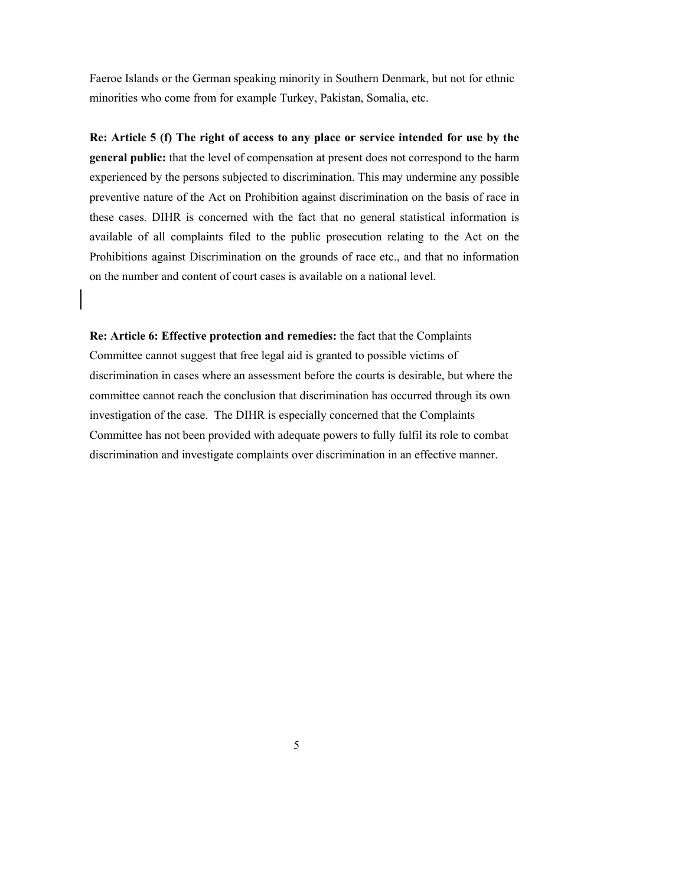Faeroe Islands or the German speaking minority in Southern Denmark, but not for ethnic minorities who come from for example Turkey, Pakistan, Somalia, etc.

**Re: Article 5 (f) The right of access to any place or service intended for use by the general public:** that the level of compensation at present does not correspond to the harm experienced by the persons subjected to discrimination. This may undermine any possible preventive nature of the Act on Prohibition against discrimination on the basis of race in these cases. DIHR is concerned with the fact that no general statistical information is available of all complaints filed to the public prosecution relating to the Act on the Prohibitions against Discrimination on the grounds of race etc., and that no information on the number and content of court cases is available on a national level.

**Re: Article 6: Effective protection and remedies:** the fact that the Complaints Committee cannot suggest that free legal aid is granted to possible victims of discrimination in cases where an assessment before the courts is desirable, but where the committee cannot reach the conclusion that discrimination has occurred through its own investigation of the case. The DIHR is especially concerned that the Complaints Committee has not been provided with adequate powers to fully fulfil its role to combat discrimination and investigate complaints over discrimination in an effective manner.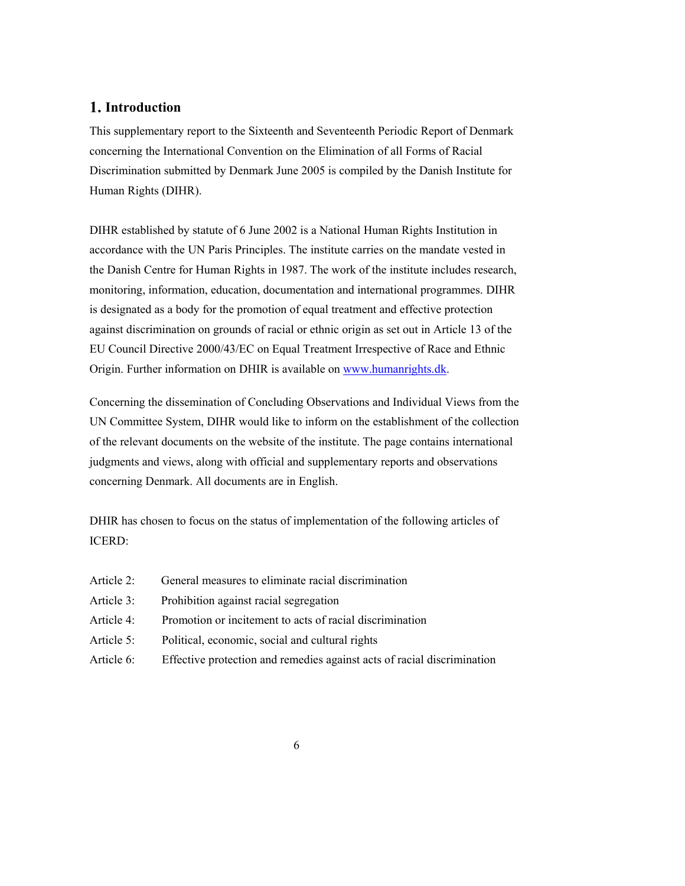## **1. Introduction**

This supplementary report to the Sixteenth and Seventeenth Periodic Report of Denmark concerning the International Convention on the Elimination of all Forms of Racial Discrimination submitted by Denmark June 2005 is compiled by the Danish Institute for Human Rights (DIHR).

DIHR established by statute of 6 June 2002 is a National Human Rights Institution in accordance with the UN Paris Principles. The institute carries on the mandate vested in the Danish Centre for Human Rights in 1987. The work of the institute includes research, monitoring, information, education, documentation and international programmes. DIHR is designated as a body for the promotion of equal treatment and effective protection against discrimination on grounds of racial or ethnic origin as set out in Article 13 of the EU Council Directive 2000/43/EC on Equal Treatment Irrespective of Race and Ethnic Origin. Further information on DHIR is available on www.humanrights.dk.

Concerning the dissemination of Concluding Observations and Individual Views from the UN Committee System, DIHR would like to inform on the establishment of the collection of the relevant documents on the website of the institute. The page contains international judgments and views, along with official and supplementary reports and observations concerning Denmark. All documents are in English.

DHIR has chosen to focus on the status of implementation of the following articles of ICERD:

- Article 2: General measures to eliminate racial discrimination
- Article 3: Prohibition against racial segregation
- Article 4: Promotion or incitement to acts of racial discrimination
- Article 5: Political, economic, social and cultural rights
- Article 6: Effective protection and remedies against acts of racial discrimination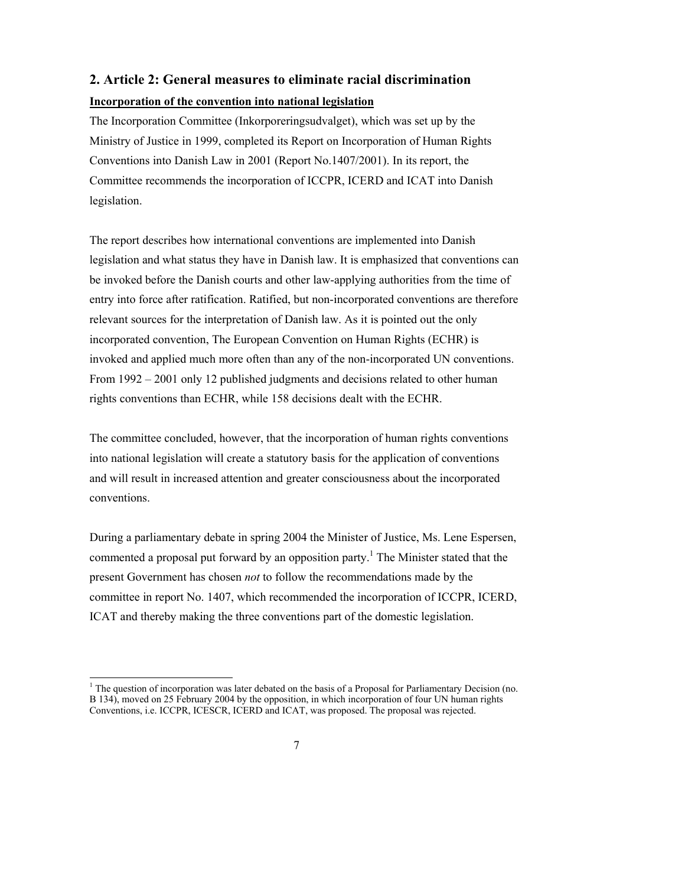## **2. Article 2: General measures to eliminate racial discrimination Incorporation of the convention into national legislation**

The Incorporation Committee (Inkorporeringsudvalget), which was set up by the Ministry of Justice in 1999, completed its Report on Incorporation of Human Rights Conventions into Danish Law in 2001 (Report No.1407/2001). In its report, the Committee recommends the incorporation of ICCPR, ICERD and ICAT into Danish legislation.

The report describes how international conventions are implemented into Danish legislation and what status they have in Danish law. It is emphasized that conventions can be invoked before the Danish courts and other law-applying authorities from the time of entry into force after ratification. Ratified, but non-incorporated conventions are therefore relevant sources for the interpretation of Danish law. As it is pointed out the only incorporated convention, The European Convention on Human Rights (ECHR) is invoked and applied much more often than any of the non-incorporated UN conventions. From 1992 – 2001 only 12 published judgments and decisions related to other human rights conventions than ECHR, while 158 decisions dealt with the ECHR.

The committee concluded, however, that the incorporation of human rights conventions into national legislation will create a statutory basis for the application of conventions and will result in increased attention and greater consciousness about the incorporated conventions.

During a parliamentary debate in spring 2004 the Minister of Justice, Ms. Lene Espersen, commented a proposal put forward by an opposition party.<sup>1</sup> The Minister stated that the present Government has chosen *not* to follow the recommendations made by the committee in report No. 1407, which recommended the incorporation of ICCPR, ICERD, ICAT and thereby making the three conventions part of the domestic legislation.

 $\overline{a}$ <sup>1</sup> The question of incorporation was later debated on the basis of a Proposal for Parliamentary Decision (no. B 134), moved on 25 February 2004 by the opposition, in which incorporation of four UN human rights Conventions, i.e. ICCPR, ICESCR, ICERD and ICAT, was proposed. The proposal was rejected.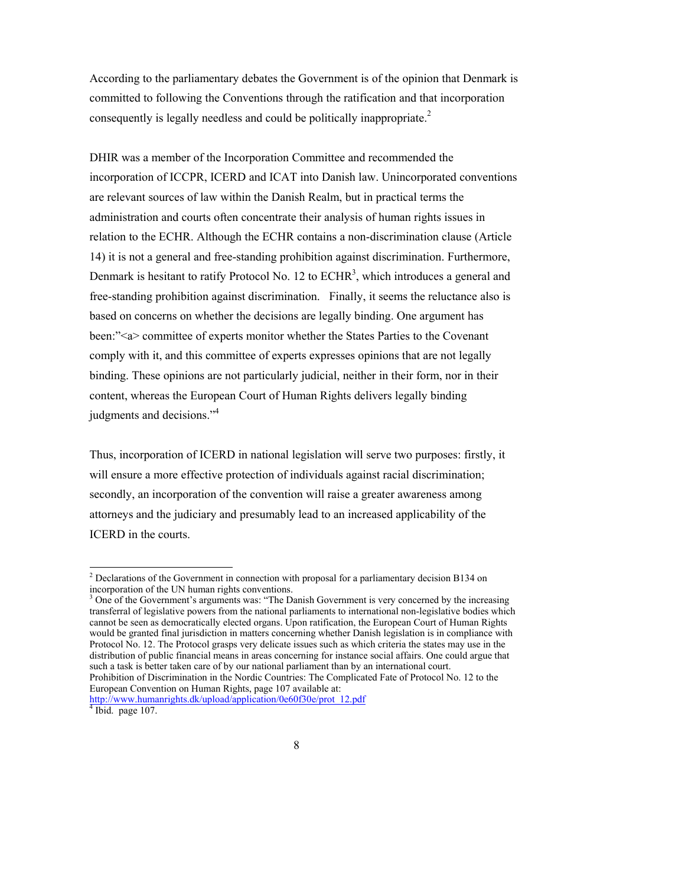According to the parliamentary debates the Government is of the opinion that Denmark is committed to following the Conventions through the ratification and that incorporation consequently is legally needless and could be politically inappropriate.<sup>2</sup>

DHIR was a member of the Incorporation Committee and recommended the incorporation of ICCPR, ICERD and ICAT into Danish law. Unincorporated conventions are relevant sources of law within the Danish Realm, but in practical terms the administration and courts often concentrate their analysis of human rights issues in relation to the ECHR. Although the ECHR contains a non-discrimination clause (Article 14) it is not a general and free-standing prohibition against discrimination. Furthermore, Denmark is hesitant to ratify Protocol No. 12 to  $ECHR<sup>3</sup>$ , which introduces a general and free-standing prohibition against discrimination. Finally, it seems the reluctance also is based on concerns on whether the decisions are legally binding. One argument has been:"<a> committee of experts monitor whether the States Parties to the Covenant comply with it, and this committee of experts expresses opinions that are not legally binding. These opinions are not particularly judicial, neither in their form, nor in their content, whereas the European Court of Human Rights delivers legally binding judgments and decisions."4

Thus, incorporation of ICERD in national legislation will serve two purposes: firstly, it will ensure a more effective protection of individuals against racial discrimination; secondly, an incorporation of the convention will raise a greater awareness among attorneys and the judiciary and presumably lead to an increased applicability of the ICERD in the courts.

<sup>&</sup>lt;sup>2</sup> Declarations of the Government in connection with proposal for a parliamentary decision B134 on incorporation of the UN human rights conventions.

<sup>&</sup>lt;sup>3</sup> One of the Government's arguments was: "The Danish Government is very concerned by the increasing transferral of legislative powers from the national parliaments to international non-legislative bodies which cannot be seen as democratically elected organs. Upon ratification, the European Court of Human Rights would be granted final jurisdiction in matters concerning whether Danish legislation is in compliance with Protocol No. 12. The Protocol grasps very delicate issues such as which criteria the states may use in the distribution of public financial means in areas concerning for instance social affairs. One could argue that such a task is better taken care of by our national parliament than by an international court. Prohibition of Discrimination in the Nordic Countries: The Complicated Fate of Protocol No. 12 to the European Convention on Human Rights, page 107 available at: http://www.humanrights.dk/upload/application/0e60f30e/prot\_12.pdf

Ibid. page 107.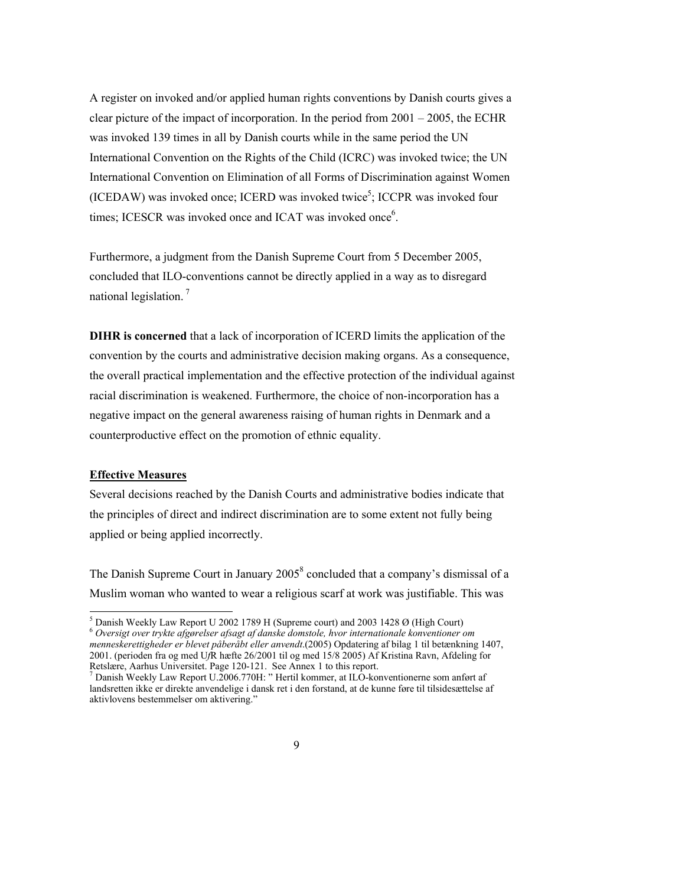A register on invoked and/or applied human rights conventions by Danish courts gives a clear picture of the impact of incorporation. In the period from  $2001 - 2005$ , the ECHR was invoked 139 times in all by Danish courts while in the same period the UN International Convention on the Rights of the Child (ICRC) was invoked twice; the UN International Convention on Elimination of all Forms of Discrimination against Women (ICEDAW) was invoked once; ICERD was invoked twice<sup>5</sup>; ICCPR was invoked four times; ICESCR was invoked once and ICAT was invoked once<sup>6</sup>.

Furthermore, a judgment from the Danish Supreme Court from 5 December 2005, concluded that ILO-conventions cannot be directly applied in a way as to disregard national legislation. 7

**DIHR is concerned** that a lack of incorporation of ICERD limits the application of the convention by the courts and administrative decision making organs. As a consequence, the overall practical implementation and the effective protection of the individual against racial discrimination is weakened. Furthermore, the choice of non-incorporation has a negative impact on the general awareness raising of human rights in Denmark and a counterproductive effect on the promotion of ethnic equality.

#### **Effective Measures**

 $\overline{a}$ 

Several decisions reached by the Danish Courts and administrative bodies indicate that the principles of direct and indirect discrimination are to some extent not fully being applied or being applied incorrectly.

The Danish Supreme Court in January  $2005<sup>8</sup>$  concluded that a company's dismissal of a Muslim woman who wanted to wear a religious scarf at work was justifiable. This was

 $<sup>5</sup>$  Danish Weekly Law Report U 2002 1789 H (Supreme court) and 2003 1428 Ø (High Court)</sup> <sup>6</sup> *Oversigt over trykte afgørelser afsagt af danske domstole, hvor internationale konventioner om menneskerettigheder er blevet påberåbt eller anvendt*.(2005) Opdatering af bilag 1 til betænkning 1407, 2001. (perioden fra og med U*f*R hæfte 26/2001 til og med 15/8 2005) Af Kristina Ravn, Afdeling for Retslære, Aarhus Universitet. Page 120-121. See Annex 1 to this report.

 $^7$  Danish Weekly Law Report U.2006.770H: "Hertil kommer, at ILO-konventionerne som anført af landsretten ikke er direkte anvendelige i dansk ret i den forstand, at de kunne føre til tilsidesættelse af aktivlovens bestemmelser om aktivering."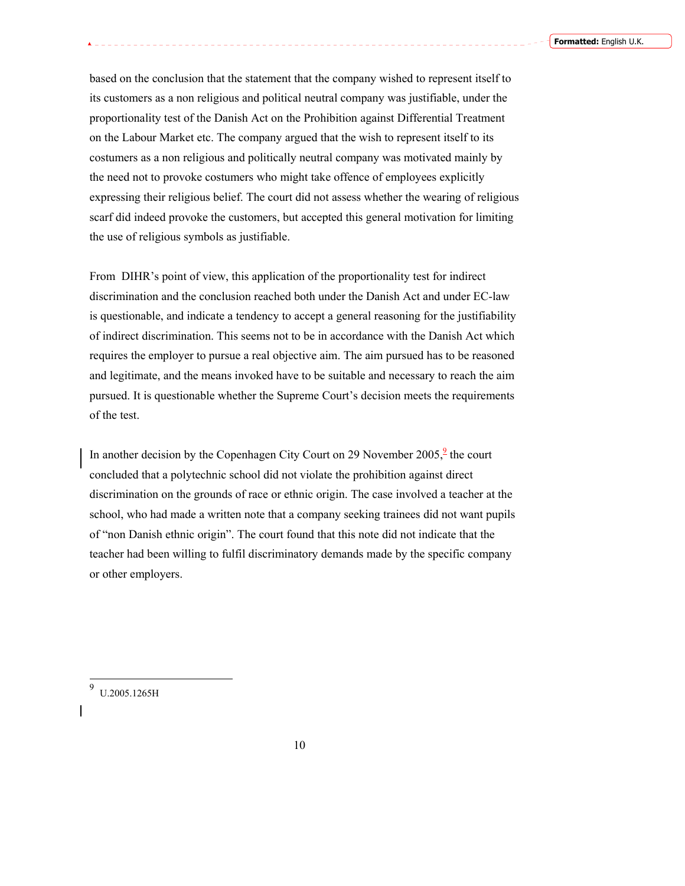based on the conclusion that the statement that the company wished to represent itself to its customers as a non religious and political neutral company was justifiable, under the proportionality test of the Danish Act on the Prohibition against Differential Treatment on the Labour Market etc. The company argued that the wish to represent itself to its costumers as a non religious and politically neutral company was motivated mainly by the need not to provoke costumers who might take offence of employees explicitly expressing their religious belief. The court did not assess whether the wearing of religious scarf did indeed provoke the customers, but accepted this general motivation for limiting the use of religious symbols as justifiable.

From DIHR's point of view, this application of the proportionality test for indirect discrimination and the conclusion reached both under the Danish Act and under EC-law is questionable, and indicate a tendency to accept a general reasoning for the justifiability of indirect discrimination. This seems not to be in accordance with the Danish Act which requires the employer to pursue a real objective aim. The aim pursued has to be reasoned and legitimate, and the means invoked have to be suitable and necessary to reach the aim pursued. It is questionable whether the Supreme Court's decision meets the requirements of the test.

In another decision by the Copenhagen City Court on 29 November  $2005$ ,  $\frac{9}{2}$  the court concluded that a polytechnic school did not violate the prohibition against direct discrimination on the grounds of race or ethnic origin. The case involved a teacher at the school, who had made a written note that a company seeking trainees did not want pupils of "non Danish ethnic origin". The court found that this note did not indicate that the teacher had been willing to fulfil discriminatory demands made by the specific company or other employers.

9 U.2005.1265H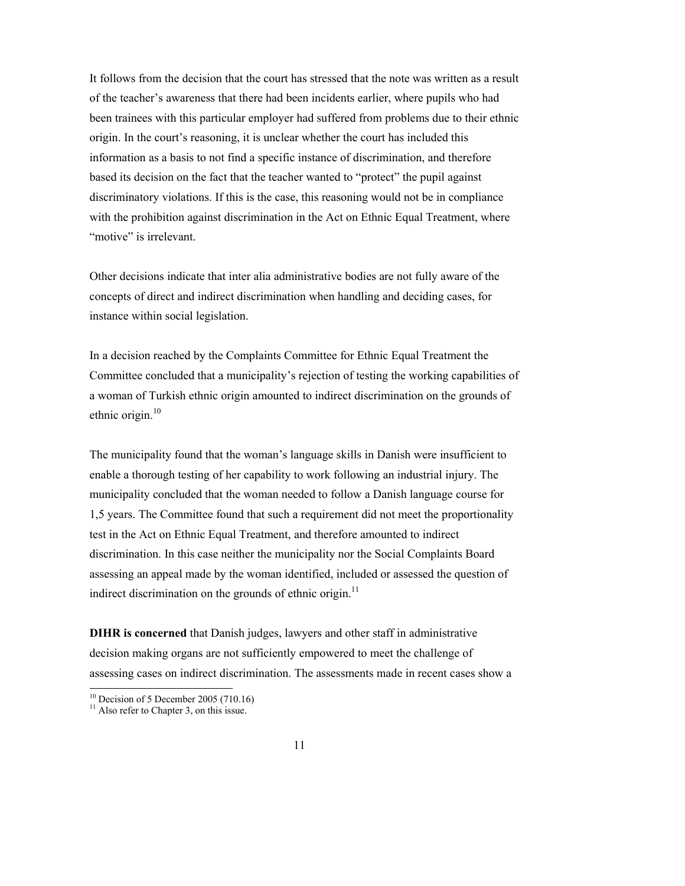It follows from the decision that the court has stressed that the note was written as a result of the teacher's awareness that there had been incidents earlier, where pupils who had been trainees with this particular employer had suffered from problems due to their ethnic origin. In the court's reasoning, it is unclear whether the court has included this information as a basis to not find a specific instance of discrimination, and therefore based its decision on the fact that the teacher wanted to "protect" the pupil against discriminatory violations. If this is the case, this reasoning would not be in compliance with the prohibition against discrimination in the Act on Ethnic Equal Treatment, where "motive" is irrelevant.

Other decisions indicate that inter alia administrative bodies are not fully aware of the concepts of direct and indirect discrimination when handling and deciding cases, for instance within social legislation.

In a decision reached by the Complaints Committee for Ethnic Equal Treatment the Committee concluded that a municipality's rejection of testing the working capabilities of a woman of Turkish ethnic origin amounted to indirect discrimination on the grounds of ethnic origin. $10$ 

The municipality found that the woman's language skills in Danish were insufficient to enable a thorough testing of her capability to work following an industrial injury. The municipality concluded that the woman needed to follow a Danish language course for 1,5 years. The Committee found that such a requirement did not meet the proportionality test in the Act on Ethnic Equal Treatment, and therefore amounted to indirect discrimination. In this case neither the municipality nor the Social Complaints Board assessing an appeal made by the woman identified, included or assessed the question of indirect discrimination on the grounds of ethnic origin.<sup>11</sup>

**DIHR is concerned** that Danish judges, lawyers and other staff in administrative decision making organs are not sufficiently empowered to meet the challenge of assessing cases on indirect discrimination. The assessments made in recent cases show a

 $\overline{a}$ 

 $10$  Decision of 5 December 2005 (710.16)

 $11$  Also refer to Chapter 3, on this issue.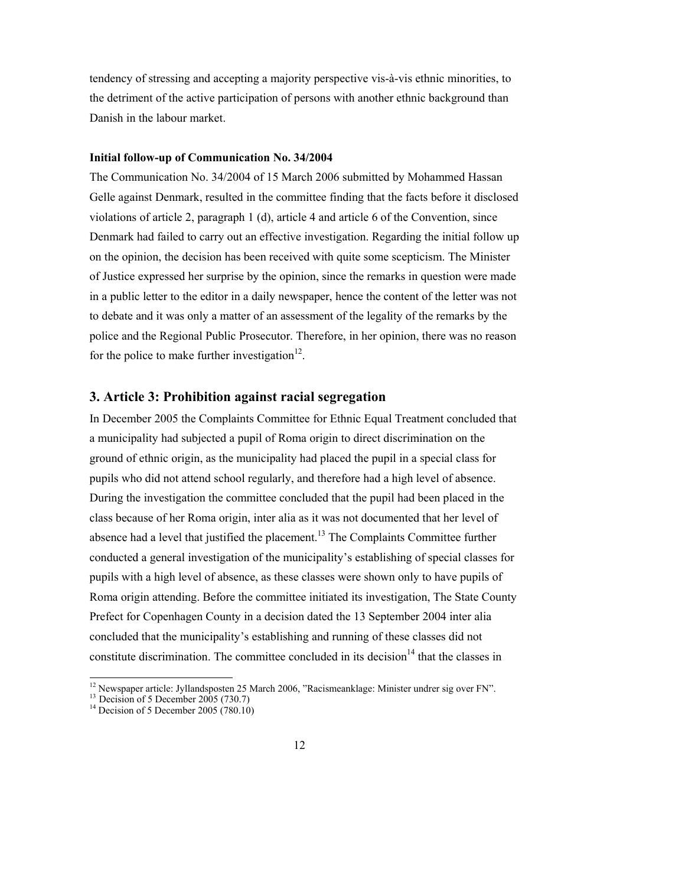tendency of stressing and accepting a majority perspective vis-à-vis ethnic minorities, to the detriment of the active participation of persons with another ethnic background than Danish in the labour market.

#### **Initial follow-up of Communication No. 34/2004**

The Communication No. 34/2004 of 15 March 2006 submitted by Mohammed Hassan Gelle against Denmark, resulted in the committee finding that the facts before it disclosed violations of article 2, paragraph 1 (d), article 4 and article 6 of the Convention, since Denmark had failed to carry out an effective investigation. Regarding the initial follow up on the opinion, the decision has been received with quite some scepticism. The Minister of Justice expressed her surprise by the opinion, since the remarks in question were made in a public letter to the editor in a daily newspaper, hence the content of the letter was not to debate and it was only a matter of an assessment of the legality of the remarks by the police and the Regional Public Prosecutor. Therefore, in her opinion, there was no reason for the police to make further investigation $12$ .

## **3. Article 3: Prohibition against racial segregation**

In December 2005 the Complaints Committee for Ethnic Equal Treatment concluded that a municipality had subjected a pupil of Roma origin to direct discrimination on the ground of ethnic origin, as the municipality had placed the pupil in a special class for pupils who did not attend school regularly, and therefore had a high level of absence. During the investigation the committee concluded that the pupil had been placed in the class because of her Roma origin, inter alia as it was not documented that her level of absence had a level that justified the placement.<sup>13</sup> The Complaints Committee further conducted a general investigation of the municipality's establishing of special classes for pupils with a high level of absence, as these classes were shown only to have pupils of Roma origin attending. Before the committee initiated its investigation, The State County Prefect for Copenhagen County in a decision dated the 13 September 2004 inter alia concluded that the municipality's establishing and running of these classes did not constitute discrimination. The committee concluded in its decision<sup>14</sup> that the classes in

 $\overline{a}$ <sup>12</sup> Newspaper article: Jyllandsposten 25 March 2006, "Racismeanklage: Minister undrer sig over FN".

<sup>&</sup>lt;sup>13</sup> Decision of 5 December 2005 (730.7)<sup>14</sup> Decision of 5 December 2005 (780.10)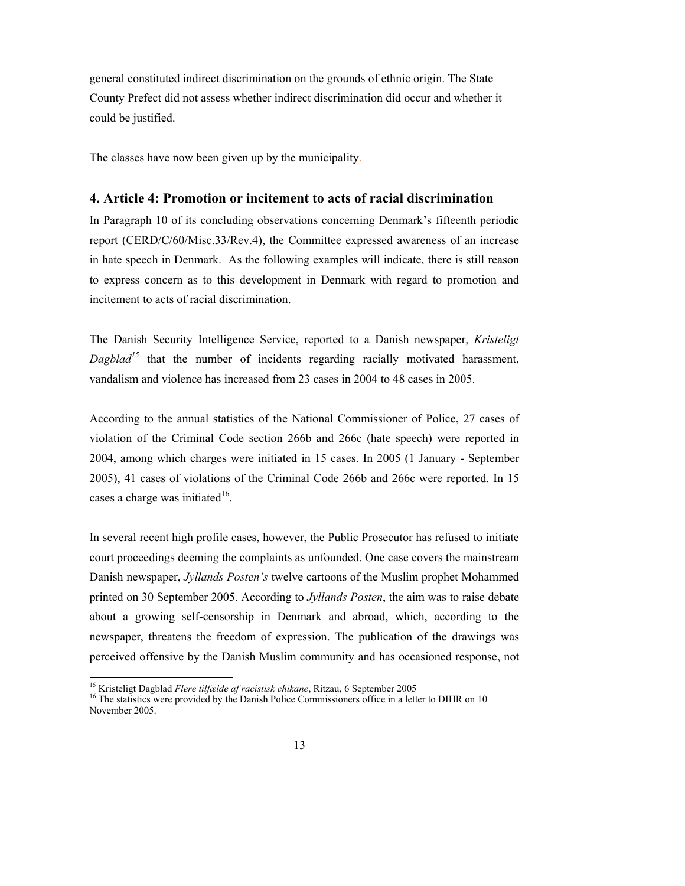general constituted indirect discrimination on the grounds of ethnic origin. The State County Prefect did not assess whether indirect discrimination did occur and whether it could be justified.

The classes have now been given up by the municipality.

#### **4. Article 4: Promotion or incitement to acts of racial discrimination**

In Paragraph 10 of its concluding observations concerning Denmark's fifteenth periodic report (CERD/C/60/Misc.33/Rev.4), the Committee expressed awareness of an increase in hate speech in Denmark. As the following examples will indicate, there is still reason to express concern as to this development in Denmark with regard to promotion and incitement to acts of racial discrimination.

The Danish Security Intelligence Service, reported to a Danish newspaper, *Kristeligt Dagblad<sup>15</sup>* that the number of incidents regarding racially motivated harassment, vandalism and violence has increased from 23 cases in 2004 to 48 cases in 2005.

According to the annual statistics of the National Commissioner of Police, 27 cases of violation of the Criminal Code section 266b and 266c (hate speech) were reported in 2004, among which charges were initiated in 15 cases. In 2005 (1 January - September 2005), 41 cases of violations of the Criminal Code 266b and 266c were reported. In 15 cases a charge was initiated $16$ .

In several recent high profile cases, however, the Public Prosecutor has refused to initiate court proceedings deeming the complaints as unfounded. One case covers the mainstream Danish newspaper, *Jyllands Posten's* twelve cartoons of the Muslim prophet Mohammed printed on 30 September 2005. According to *Jyllands Posten*, the aim was to raise debate about a growing self-censorship in Denmark and abroad, which, according to the newspaper, threatens the freedom of expression. The publication of the drawings was perceived offensive by the Danish Muslim community and has occasioned response, not

 $\overline{a}$ 

<sup>&</sup>lt;sup>15</sup> Kristeligt Dagblad *Flere tilfælde af racistisk chikane*, Ritzau, 6 September 2005<br><sup>16</sup> The statistics were provided by the Danish Police Commissioners office in a letter to DIHR on 10 November 2005.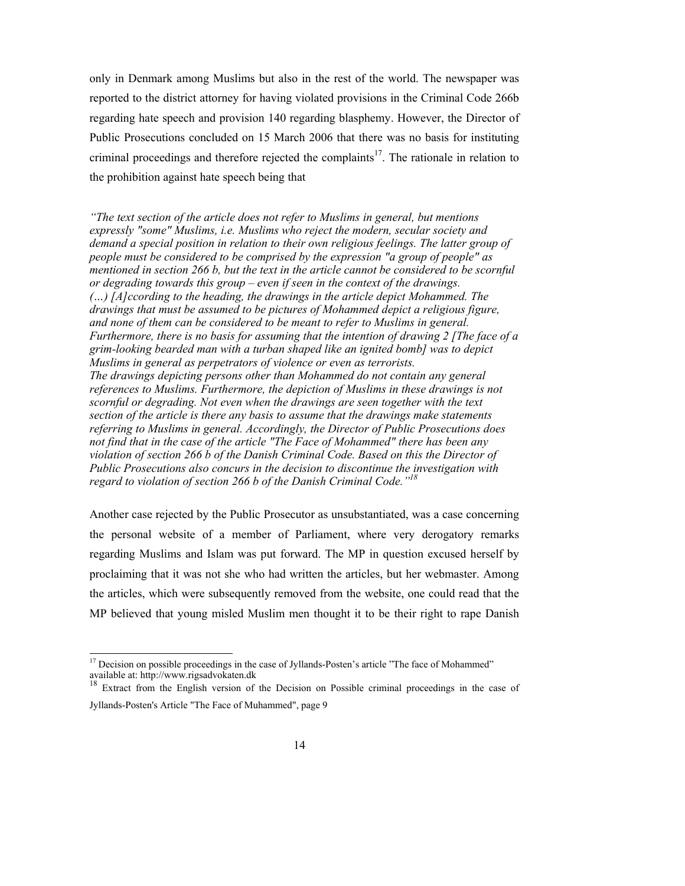only in Denmark among Muslims but also in the rest of the world. The newspaper was reported to the district attorney for having violated provisions in the Criminal Code 266b regarding hate speech and provision 140 regarding blasphemy. However, the Director of Public Prosecutions concluded on 15 March 2006 that there was no basis for instituting criminal proceedings and therefore rejected the complaints<sup>17</sup>. The rationale in relation to the prohibition against hate speech being that

*"The text section of the article does not refer to Muslims in general, but mentions expressly "some" Muslims, i.e. Muslims who reject the modern, secular society and demand a special position in relation to their own religious feelings. The latter group of people must be considered to be comprised by the expression "a group of people" as mentioned in section 266 b, but the text in the article cannot be considered to be scornful or degrading towards this group – even if seen in the context of the drawings. (…) [A]ccording to the heading, the drawings in the article depict Mohammed. The drawings that must be assumed to be pictures of Mohammed depict a religious figure, and none of them can be considered to be meant to refer to Muslims in general. Furthermore, there is no basis for assuming that the intention of drawing 2 [The face of a grim-looking bearded man with a turban shaped like an ignited bomb] was to depict Muslims in general as perpetrators of violence or even as terrorists. The drawings depicting persons other than Mohammed do not contain any general references to Muslims. Furthermore, the depiction of Muslims in these drawings is not scornful or degrading. Not even when the drawings are seen together with the text section of the article is there any basis to assume that the drawings make statements referring to Muslims in general. Accordingly, the Director of Public Prosecutions does not find that in the case of the article "The Face of Mohammed" there has been any violation of section 266 b of the Danish Criminal Code. Based on this the Director of Public Prosecutions also concurs in the decision to discontinue the investigation with regard to violation of section 266 b of the Danish Criminal Code."18*

Another case rejected by the Public Prosecutor as unsubstantiated, was a case concerning the personal website of a member of Parliament, where very derogatory remarks regarding Muslims and Islam was put forward. The MP in question excused herself by proclaiming that it was not she who had written the articles, but her webmaster. Among the articles, which were subsequently removed from the website, one could read that the MP believed that young misled Muslim men thought it to be their right to rape Danish

 $\overline{a}$ 

<sup>&</sup>lt;sup>17</sup> Decision on possible proceedings in the case of Jyllands-Posten's article "The face of Mohammed" available at: http://www.rigsadvokaten.dk

<sup>&</sup>lt;sup>18</sup> Extract from the English version of the Decision on Possible criminal proceedings in the case of Jyllands-Posten's Article "The Face of Muhammed", page 9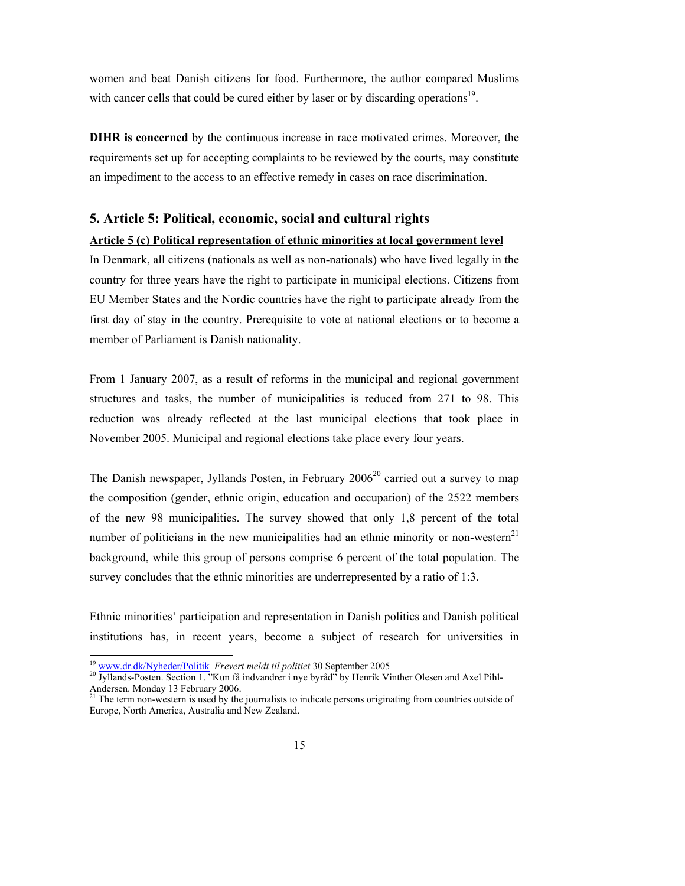women and beat Danish citizens for food. Furthermore, the author compared Muslims with cancer cells that could be cured either by laser or by discarding operations<sup>19</sup>.

**DIHR is concerned** by the continuous increase in race motivated crimes. Moreover, the requirements set up for accepting complaints to be reviewed by the courts, may constitute an impediment to the access to an effective remedy in cases on race discrimination.

#### **5. Article 5: Political, economic, social and cultural rights**

#### **Article 5 (c) Political representation of ethnic minorities at local government level**

In Denmark, all citizens (nationals as well as non-nationals) who have lived legally in the country for three years have the right to participate in municipal elections. Citizens from EU Member States and the Nordic countries have the right to participate already from the first day of stay in the country. Prerequisite to vote at national elections or to become a member of Parliament is Danish nationality.

From 1 January 2007, as a result of reforms in the municipal and regional government structures and tasks, the number of municipalities is reduced from 271 to 98. This reduction was already reflected at the last municipal elections that took place in November 2005. Municipal and regional elections take place every four years.

The Danish newspaper, Jyllands Posten, in February  $2006<sup>20</sup>$  carried out a survey to map the composition (gender, ethnic origin, education and occupation) of the 2522 members of the new 98 municipalities. The survey showed that only 1,8 percent of the total number of politicians in the new municipalities had an ethnic minority or non-western $21$ background, while this group of persons comprise 6 percent of the total population. The survey concludes that the ethnic minorities are underrepresented by a ratio of 1:3.

Ethnic minorities' participation and representation in Danish politics and Danish political institutions has, in recent years, become a subject of research for universities in

<sup>&</sup>lt;sup>19</sup> www.dr.dk/Nyheder/Politik Frevert meldt til politiet 30 September 2005

<sup>&</sup>lt;sup>20</sup> Jyllands-Posten. Section 1. "Kun få indvandrer i nye byråd" by Henrik Vinther Olesen and Axel Pihl-Andersen. Monday 13 February 2006.

<sup>&</sup>lt;sup>21</sup> The term non-western is used by the journalists to indicate persons originating from countries outside of Europe, North America, Australia and New Zealand.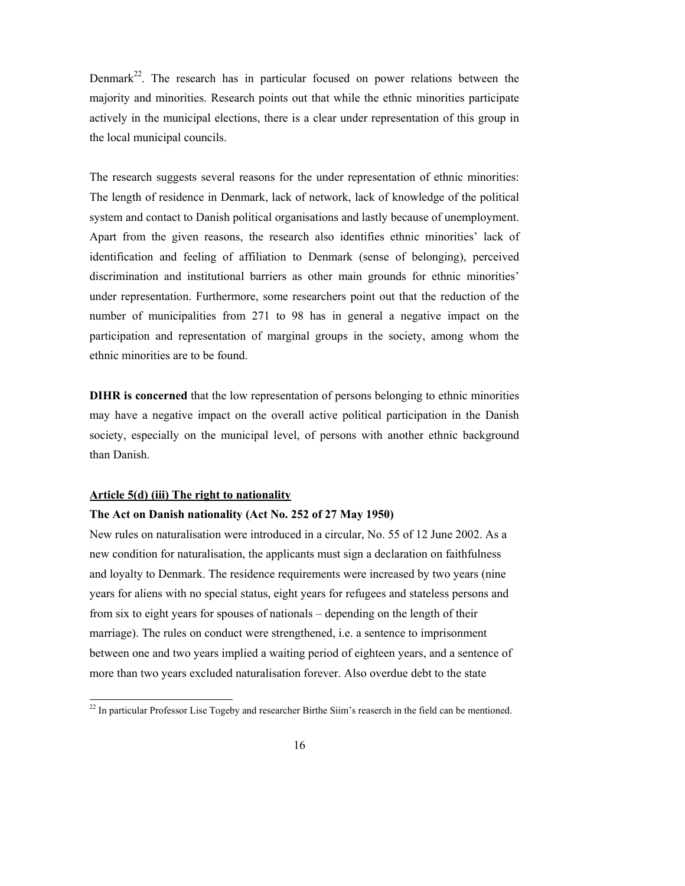Denmark<sup>22</sup>. The research has in particular focused on power relations between the majority and minorities. Research points out that while the ethnic minorities participate actively in the municipal elections, there is a clear under representation of this group in the local municipal councils.

The research suggests several reasons for the under representation of ethnic minorities: The length of residence in Denmark, lack of network, lack of knowledge of the political system and contact to Danish political organisations and lastly because of unemployment. Apart from the given reasons, the research also identifies ethnic minorities' lack of identification and feeling of affiliation to Denmark (sense of belonging), perceived discrimination and institutional barriers as other main grounds for ethnic minorities' under representation. Furthermore, some researchers point out that the reduction of the number of municipalities from 271 to 98 has in general a negative impact on the participation and representation of marginal groups in the society, among whom the ethnic minorities are to be found.

**DIHR is concerned** that the low representation of persons belonging to ethnic minorities may have a negative impact on the overall active political participation in the Danish society, especially on the municipal level, of persons with another ethnic background than Danish.

#### **Article 5(d) (iii) The right to nationality**

l

#### **The Act on Danish nationality (Act No. 252 of 27 May 1950)**

New rules on naturalisation were introduced in a circular, No. 55 of 12 June 2002. As a new condition for naturalisation, the applicants must sign a declaration on faithfulness and loyalty to Denmark. The residence requirements were increased by two years (nine years for aliens with no special status, eight years for refugees and stateless persons and from six to eight years for spouses of nationals – depending on the length of their marriage). The rules on conduct were strengthened, i.e. a sentence to imprisonment between one and two years implied a waiting period of eighteen years, and a sentence of more than two years excluded naturalisation forever. Also overdue debt to the state

 $^{22}$  In particular Professor Lise Togeby and researcher Birthe Siim's reaserch in the field can be mentioned.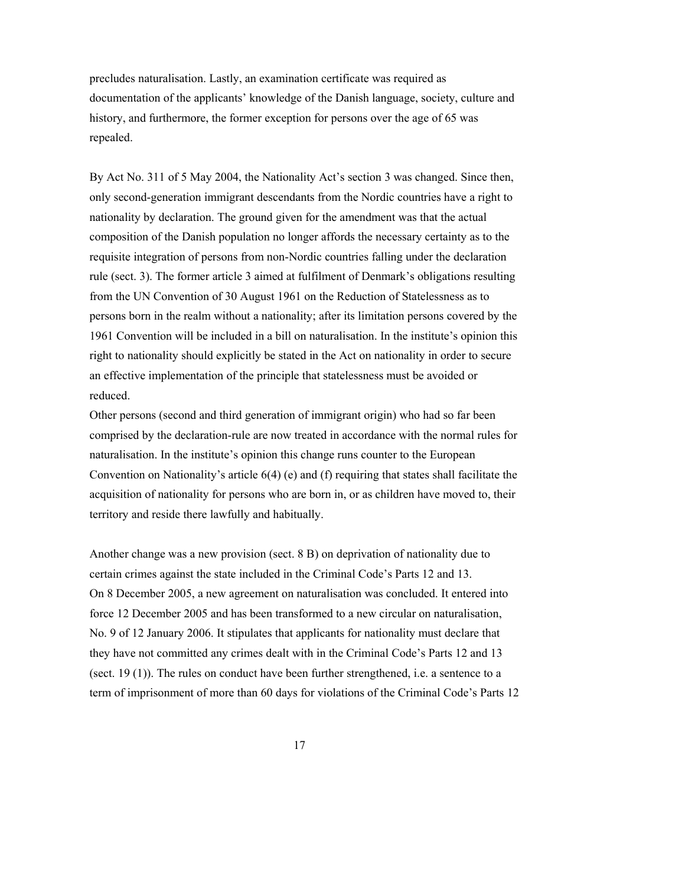precludes naturalisation. Lastly, an examination certificate was required as documentation of the applicants' knowledge of the Danish language, society, culture and history, and furthermore, the former exception for persons over the age of 65 was repealed.

By Act No. 311 of 5 May 2004, the Nationality Act's section 3 was changed. Since then, only second-generation immigrant descendants from the Nordic countries have a right to nationality by declaration. The ground given for the amendment was that the actual composition of the Danish population no longer affords the necessary certainty as to the requisite integration of persons from non-Nordic countries falling under the declaration rule (sect. 3). The former article 3 aimed at fulfilment of Denmark's obligations resulting from the UN Convention of 30 August 1961 on the Reduction of Statelessness as to persons born in the realm without a nationality; after its limitation persons covered by the 1961 Convention will be included in a bill on naturalisation. In the institute's opinion this right to nationality should explicitly be stated in the Act on nationality in order to secure an effective implementation of the principle that statelessness must be avoided or reduced.

Other persons (second and third generation of immigrant origin) who had so far been comprised by the declaration-rule are now treated in accordance with the normal rules for naturalisation. In the institute's opinion this change runs counter to the European Convention on Nationality's article  $6(4)$  (e) and (f) requiring that states shall facilitate the acquisition of nationality for persons who are born in, or as children have moved to, their territory and reside there lawfully and habitually.

Another change was a new provision (sect. 8 B) on deprivation of nationality due to certain crimes against the state included in the Criminal Code's Parts 12 and 13. On 8 December 2005, a new agreement on naturalisation was concluded. It entered into force 12 December 2005 and has been transformed to a new circular on naturalisation, No. 9 of 12 January 2006. It stipulates that applicants for nationality must declare that they have not committed any crimes dealt with in the Criminal Code's Parts 12 and 13 (sect. 19 (1)). The rules on conduct have been further strengthened, i.e. a sentence to a term of imprisonment of more than 60 days for violations of the Criminal Code's Parts 12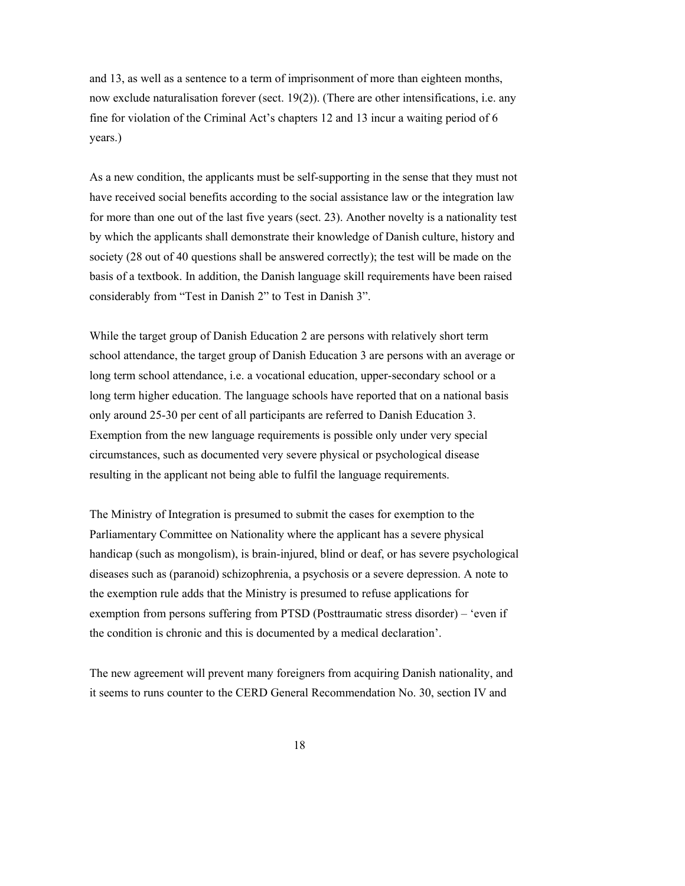and 13, as well as a sentence to a term of imprisonment of more than eighteen months, now exclude naturalisation forever (sect. 19(2)). (There are other intensifications, i.e. any fine for violation of the Criminal Act's chapters 12 and 13 incur a waiting period of 6 years.)

As a new condition, the applicants must be self-supporting in the sense that they must not have received social benefits according to the social assistance law or the integration law for more than one out of the last five years (sect. 23). Another novelty is a nationality test by which the applicants shall demonstrate their knowledge of Danish culture, history and society (28 out of 40 questions shall be answered correctly); the test will be made on the basis of a textbook. In addition, the Danish language skill requirements have been raised considerably from "Test in Danish 2" to Test in Danish 3".

While the target group of Danish Education 2 are persons with relatively short term school attendance, the target group of Danish Education 3 are persons with an average or long term school attendance, i.e. a vocational education, upper-secondary school or a long term higher education. The language schools have reported that on a national basis only around 25-30 per cent of all participants are referred to Danish Education 3. Exemption from the new language requirements is possible only under very special circumstances, such as documented very severe physical or psychological disease resulting in the applicant not being able to fulfil the language requirements.

The Ministry of Integration is presumed to submit the cases for exemption to the Parliamentary Committee on Nationality where the applicant has a severe physical handicap (such as mongolism), is brain-injured, blind or deaf, or has severe psychological diseases such as (paranoid) schizophrenia, a psychosis or a severe depression. A note to the exemption rule adds that the Ministry is presumed to refuse applications for exemption from persons suffering from PTSD (Posttraumatic stress disorder) – 'even if the condition is chronic and this is documented by a medical declaration'.

The new agreement will prevent many foreigners from acquiring Danish nationality, and it seems to runs counter to the CERD General Recommendation No. 30, section IV and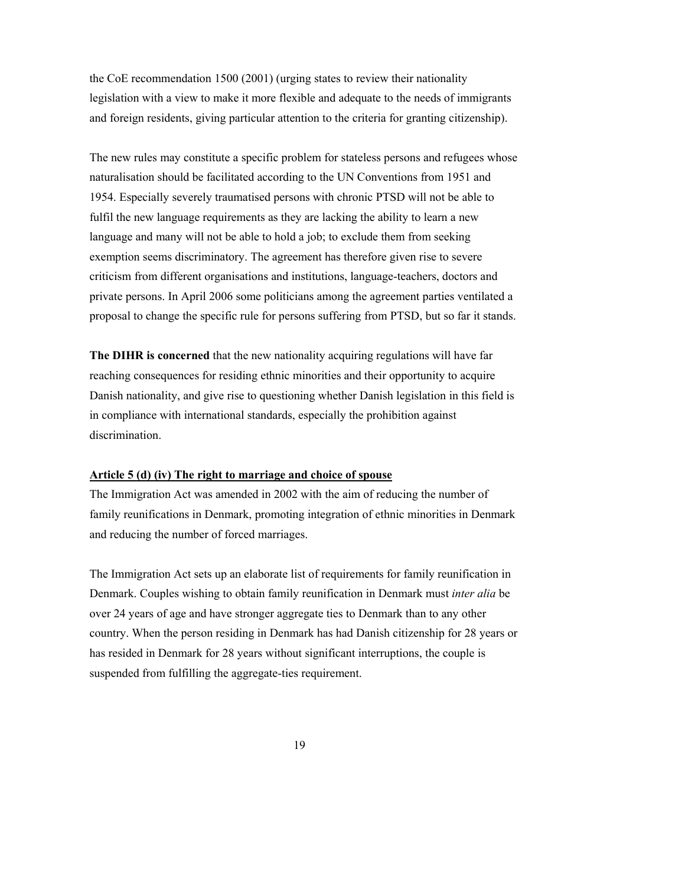the CoE recommendation 1500 (2001) (urging states to review their nationality legislation with a view to make it more flexible and adequate to the needs of immigrants and foreign residents, giving particular attention to the criteria for granting citizenship).

The new rules may constitute a specific problem for stateless persons and refugees whose naturalisation should be facilitated according to the UN Conventions from 1951 and 1954. Especially severely traumatised persons with chronic PTSD will not be able to fulfil the new language requirements as they are lacking the ability to learn a new language and many will not be able to hold a job; to exclude them from seeking exemption seems discriminatory. The agreement has therefore given rise to severe criticism from different organisations and institutions, language-teachers, doctors and private persons. In April 2006 some politicians among the agreement parties ventilated a proposal to change the specific rule for persons suffering from PTSD, but so far it stands.

**The DIHR is concerned** that the new nationality acquiring regulations will have far reaching consequences for residing ethnic minorities and their opportunity to acquire Danish nationality, and give rise to questioning whether Danish legislation in this field is in compliance with international standards, especially the prohibition against discrimination.

#### **Article 5 (d) (iv) The right to marriage and choice of spouse**

The Immigration Act was amended in 2002 with the aim of reducing the number of family reunifications in Denmark, promoting integration of ethnic minorities in Denmark and reducing the number of forced marriages.

The Immigration Act sets up an elaborate list of requirements for family reunification in Denmark. Couples wishing to obtain family reunification in Denmark must *inter alia* be over 24 years of age and have stronger aggregate ties to Denmark than to any other country. When the person residing in Denmark has had Danish citizenship for 28 years or has resided in Denmark for 28 years without significant interruptions, the couple is suspended from fulfilling the aggregate-ties requirement.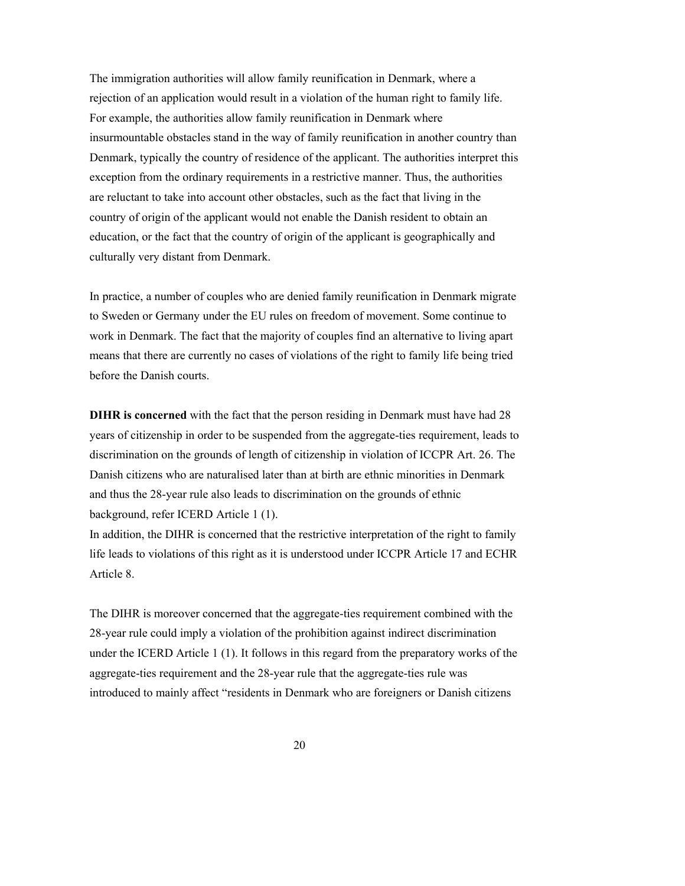The immigration authorities will allow family reunification in Denmark, where a rejection of an application would result in a violation of the human right to family life. For example, the authorities allow family reunification in Denmark where insurmountable obstacles stand in the way of family reunification in another country than Denmark, typically the country of residence of the applicant. The authorities interpret this exception from the ordinary requirements in a restrictive manner. Thus, the authorities are reluctant to take into account other obstacles, such as the fact that living in the country of origin of the applicant would not enable the Danish resident to obtain an education, or the fact that the country of origin of the applicant is geographically and culturally very distant from Denmark.

In practice, a number of couples who are denied family reunification in Denmark migrate to Sweden or Germany under the EU rules on freedom of movement. Some continue to work in Denmark. The fact that the majority of couples find an alternative to living apart means that there are currently no cases of violations of the right to family life being tried before the Danish courts.

**DIHR is concerned** with the fact that the person residing in Denmark must have had 28 years of citizenship in order to be suspended from the aggregate-ties requirement, leads to discrimination on the grounds of length of citizenship in violation of ICCPR Art. 26. The Danish citizens who are naturalised later than at birth are ethnic minorities in Denmark and thus the 28-year rule also leads to discrimination on the grounds of ethnic background, refer ICERD Article 1 (1).

In addition, the DIHR is concerned that the restrictive interpretation of the right to family life leads to violations of this right as it is understood under ICCPR Article 17 and ECHR Article 8.

The DIHR is moreover concerned that the aggregate-ties requirement combined with the 28-year rule could imply a violation of the prohibition against indirect discrimination under the ICERD Article 1 (1). It follows in this regard from the preparatory works of the aggregate-ties requirement and the 28-year rule that the aggregate-ties rule was introduced to mainly affect "residents in Denmark who are foreigners or Danish citizens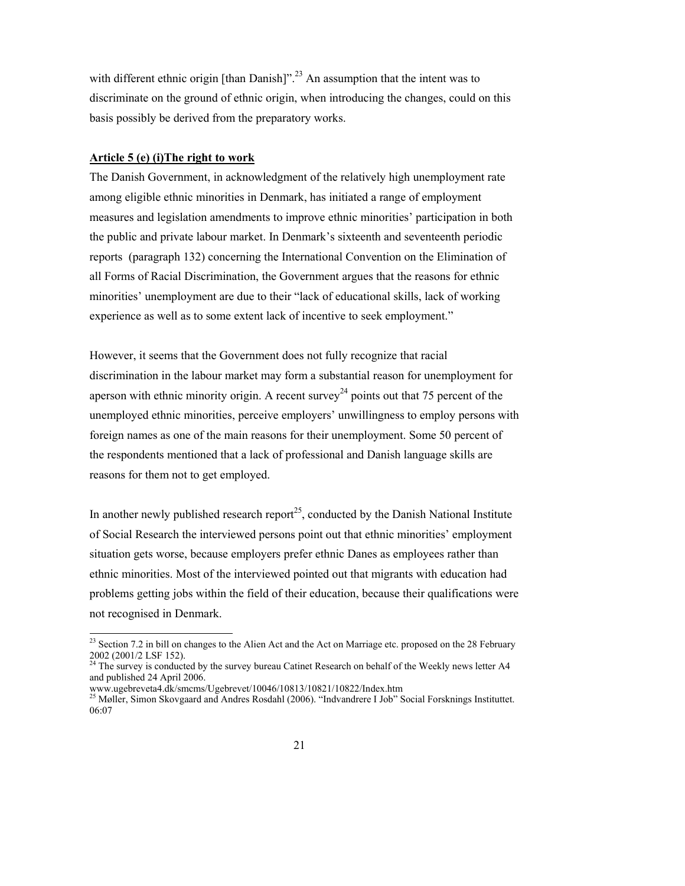with different ethnic origin  $[than Danish]$ <sup>23</sup> An assumption that the intent was to discriminate on the ground of ethnic origin, when introducing the changes, could on this basis possibly be derived from the preparatory works.

#### **Article 5 (e) (i)The right to work**

The Danish Government, in acknowledgment of the relatively high unemployment rate among eligible ethnic minorities in Denmark, has initiated a range of employment measures and legislation amendments to improve ethnic minorities' participation in both the public and private labour market. In Denmark's sixteenth and seventeenth periodic reports (paragraph 132) concerning the International Convention on the Elimination of all Forms of Racial Discrimination, the Government argues that the reasons for ethnic minorities' unemployment are due to their "lack of educational skills, lack of working experience as well as to some extent lack of incentive to seek employment."

However, it seems that the Government does not fully recognize that racial discrimination in the labour market may form a substantial reason for unemployment for aperson with ethnic minority origin. A recent survey<sup>24</sup> points out that 75 percent of the unemployed ethnic minorities, perceive employers' unwillingness to employ persons with foreign names as one of the main reasons for their unemployment. Some 50 percent of the respondents mentioned that a lack of professional and Danish language skills are reasons for them not to get employed.

In another newly published research report<sup>25</sup>, conducted by the Danish National Institute of Social Research the interviewed persons point out that ethnic minorities' employment situation gets worse, because employers prefer ethnic Danes as employees rather than ethnic minorities. Most of the interviewed pointed out that migrants with education had problems getting jobs within the field of their education, because their qualifications were not recognised in Denmark.

 $\overline{a}$ 

 $2<sup>23</sup>$  Section 7.2 in bill on changes to the Alien Act and the Act on Marriage etc. proposed on the 28 February 2002 (2001/2 LSF 152).

<sup>&</sup>lt;sup>24</sup> The survey is conducted by the survey bureau Catinet Research on behalf of the Weekly news letter A4 and published 24 April 2006.

www.ugebreveta4.dk/smcms/Ugebrevet/10046/10813/10821/10822/Index.htm

<sup>&</sup>lt;sup>25</sup> Møller, Simon Skovgaard and Andres Rosdahl (2006). "Indvandrere I Job" Social Forsknings Instituttet. 06:07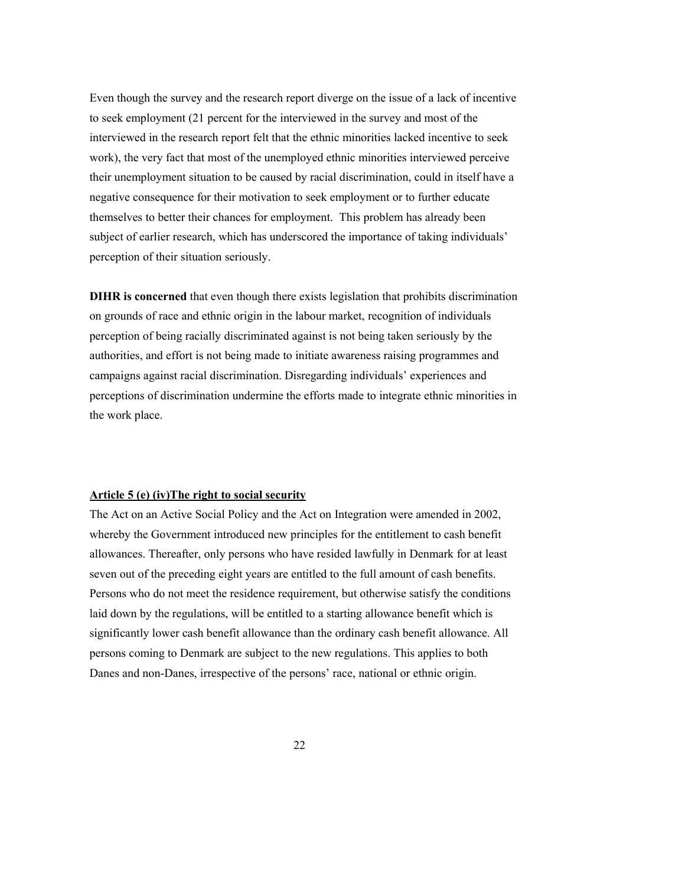Even though the survey and the research report diverge on the issue of a lack of incentive to seek employment (21 percent for the interviewed in the survey and most of the interviewed in the research report felt that the ethnic minorities lacked incentive to seek work), the very fact that most of the unemployed ethnic minorities interviewed perceive their unemployment situation to be caused by racial discrimination, could in itself have a negative consequence for their motivation to seek employment or to further educate themselves to better their chances for employment. This problem has already been subject of earlier research, which has underscored the importance of taking individuals' perception of their situation seriously.

**DIHR is concerned** that even though there exists legislation that prohibits discrimination on grounds of race and ethnic origin in the labour market, recognition of individuals perception of being racially discriminated against is not being taken seriously by the authorities, and effort is not being made to initiate awareness raising programmes and campaigns against racial discrimination. Disregarding individuals' experiences and perceptions of discrimination undermine the efforts made to integrate ethnic minorities in the work place.

#### **Article 5 (e) (iv)The right to social security**

The Act on an Active Social Policy and the Act on Integration were amended in 2002, whereby the Government introduced new principles for the entitlement to cash benefit allowances. Thereafter, only persons who have resided lawfully in Denmark for at least seven out of the preceding eight years are entitled to the full amount of cash benefits. Persons who do not meet the residence requirement, but otherwise satisfy the conditions laid down by the regulations, will be entitled to a starting allowance benefit which is significantly lower cash benefit allowance than the ordinary cash benefit allowance. All persons coming to Denmark are subject to the new regulations. This applies to both Danes and non-Danes, irrespective of the persons' race, national or ethnic origin.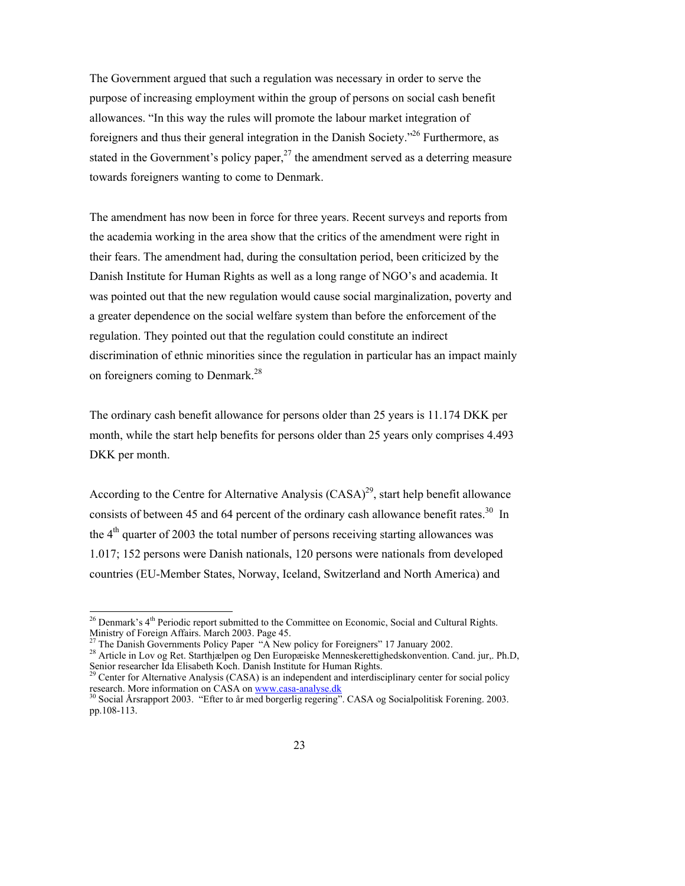The Government argued that such a regulation was necessary in order to serve the purpose of increasing employment within the group of persons on social cash benefit allowances. "In this way the rules will promote the labour market integration of foreigners and thus their general integration in the Danish Society."26 Furthermore, as stated in the Government's policy paper, $2<sup>7</sup>$  the amendment served as a deterring measure towards foreigners wanting to come to Denmark.

The amendment has now been in force for three years. Recent surveys and reports from the academia working in the area show that the critics of the amendment were right in their fears. The amendment had, during the consultation period, been criticized by the Danish Institute for Human Rights as well as a long range of NGO's and academia. It was pointed out that the new regulation would cause social marginalization, poverty and a greater dependence on the social welfare system than before the enforcement of the regulation. They pointed out that the regulation could constitute an indirect discrimination of ethnic minorities since the regulation in particular has an impact mainly on foreigners coming to Denmark.<sup>28</sup>

The ordinary cash benefit allowance for persons older than 25 years is 11.174 DKK per month, while the start help benefits for persons older than 25 years only comprises 4.493 DKK per month.

According to the Centre for Alternative Analysis  $(CASA)^{29}$ , start help benefit allowance consists of between 45 and 64 percent of the ordinary cash allowance benefit rates.<sup>30</sup> In the 4<sup>th</sup> quarter of 2003 the total number of persons receiving starting allowances was 1.017; 152 persons were Danish nationals, 120 persons were nationals from developed countries (EU-Member States, Norway, Iceland, Switzerland and North America) and

 $\overline{a}$ 

 $^{26}$  Denmark's  $4<sup>th</sup>$  Periodic report submitted to the Committee on Economic, Social and Cultural Rights. Ministry of Foreign Affairs. March 2003. Page 45.

<sup>&</sup>lt;sup>27</sup> The Danish Governments Policy Paper "A New policy for Foreigners" 17 January 2002.<br><sup>28</sup> Article in Lov og Ret. Starthjælpen og Den Europæiske Menneskerettighedskonvention. Cand. jur,. Ph.D, Senior researcher Ida Elisabeth Koch. Danish Institute for Human Rights.

<sup>&</sup>lt;sup>29</sup> Center for Alternative Analysis (CASA) is an independent and interdisciplinary center for social policy research. More information on CASA on www.casa-analyse.dk<br><sup>30</sup> Social Årsrapport 2003. "Efter to år med borgerlig regering". CASA og Socialpolitisk Forening. 2003.

pp.108-113.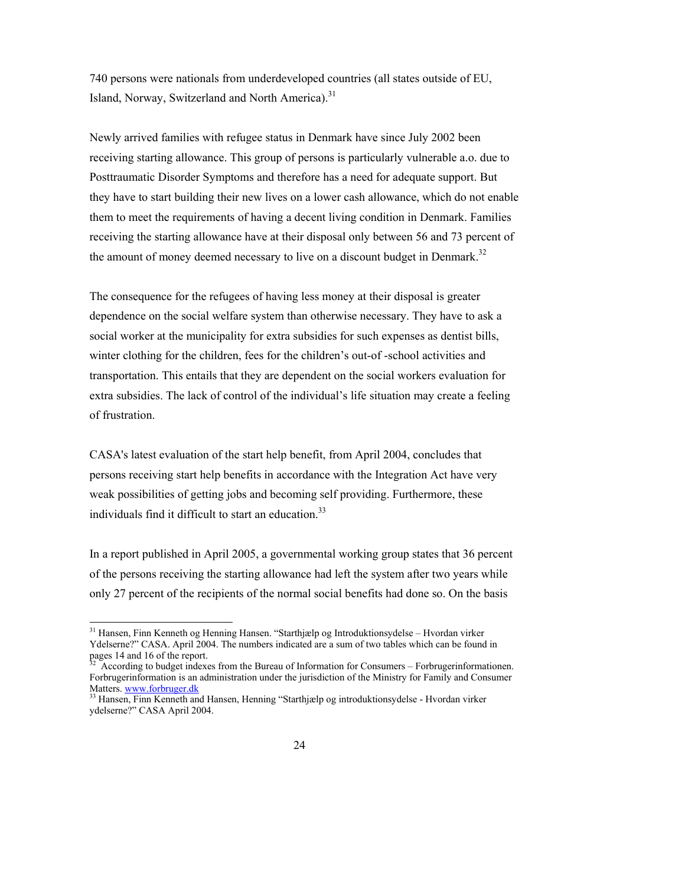740 persons were nationals from underdeveloped countries (all states outside of EU, Island, Norway, Switzerland and North America).<sup>31</sup>

Newly arrived families with refugee status in Denmark have since July 2002 been receiving starting allowance. This group of persons is particularly vulnerable a.o. due to Posttraumatic Disorder Symptoms and therefore has a need for adequate support. But they have to start building their new lives on a lower cash allowance, which do not enable them to meet the requirements of having a decent living condition in Denmark. Families receiving the starting allowance have at their disposal only between 56 and 73 percent of the amount of money deemed necessary to live on a discount budget in Denmark.<sup>32</sup>

The consequence for the refugees of having less money at their disposal is greater dependence on the social welfare system than otherwise necessary. They have to ask a social worker at the municipality for extra subsidies for such expenses as dentist bills, winter clothing for the children, fees for the children's out-of -school activities and transportation. This entails that they are dependent on the social workers evaluation for extra subsidies. The lack of control of the individual's life situation may create a feeling of frustration.

CASA's latest evaluation of the start help benefit, from April 2004, concludes that persons receiving start help benefits in accordance with the Integration Act have very weak possibilities of getting jobs and becoming self providing. Furthermore, these individuals find it difficult to start an education.<sup>33</sup>

In a report published in April 2005, a governmental working group states that 36 percent of the persons receiving the starting allowance had left the system after two years while only 27 percent of the recipients of the normal social benefits had done so. On the basis

l

<sup>31</sup> Hansen, Finn Kenneth og Henning Hansen. "Starthjælp og Introduktionsydelse – Hvordan virker Ydelserne?" CASA. April 2004. The numbers indicated are a sum of two tables which can be found in pages 14 and 16 of the report.

<sup>32</sup> According to budget indexes from the Bureau of Information for Consumers – Forbrugerinformationen. Forbrugerinformation is an administration under the jurisdiction of the Ministry for Family and Consumer Matters. www.forbruger.dk

<sup>33</sup> Hansen, Finn Kenneth and Hansen, Henning "Starthjælp og introduktionsydelse - Hvordan virker ydelserne?" CASA April 2004.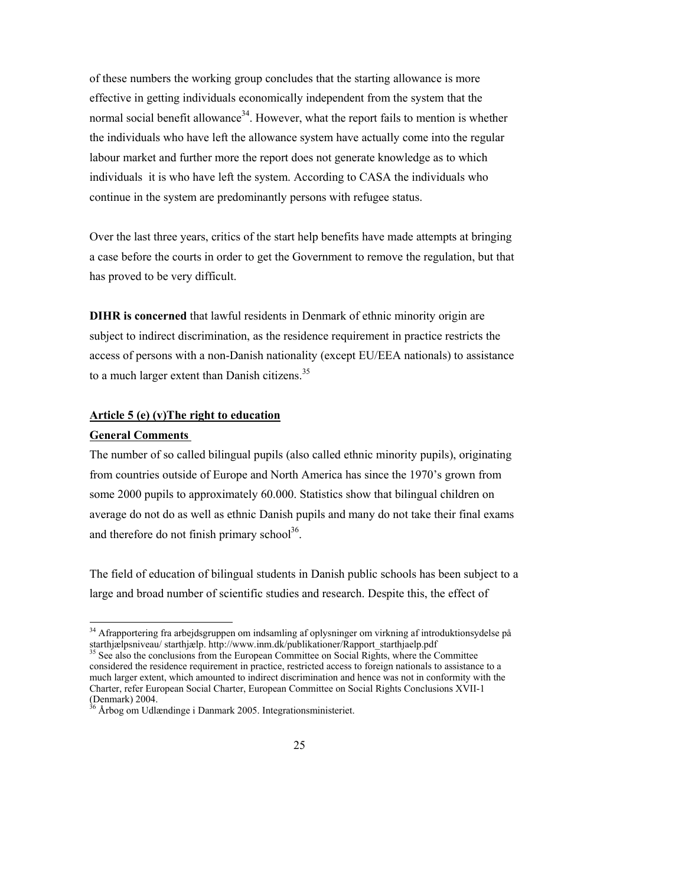of these numbers the working group concludes that the starting allowance is more effective in getting individuals economically independent from the system that the normal social benefit allowance<sup>34</sup>. However, what the report fails to mention is whether the individuals who have left the allowance system have actually come into the regular labour market and further more the report does not generate knowledge as to which individuals it is who have left the system. According to CASA the individuals who continue in the system are predominantly persons with refugee status.

Over the last three years, critics of the start help benefits have made attempts at bringing a case before the courts in order to get the Government to remove the regulation, but that has proved to be very difficult.

**DIHR is concerned** that lawful residents in Denmark of ethnic minority origin are subject to indirect discrimination, as the residence requirement in practice restricts the access of persons with a non-Danish nationality (except EU/EEA nationals) to assistance to a much larger extent than Danish citizens.<sup>35</sup>

#### **Article 5 (e) (v)The right to education**

#### **General Comments**

l

The number of so called bilingual pupils (also called ethnic minority pupils), originating from countries outside of Europe and North America has since the 1970's grown from some 2000 pupils to approximately 60.000. Statistics show that bilingual children on average do not do as well as ethnic Danish pupils and many do not take their final exams and therefore do not finish primary school $^{36}$ .

The field of education of bilingual students in Danish public schools has been subject to a large and broad number of scientific studies and research. Despite this, the effect of

<sup>&</sup>lt;sup>34</sup> Afrapportering fra arbejdsgruppen om indsamling af oplysninger om virkning af introduktionsydelse på starthjælpsniveau/ starthjælp. http://www.inm.dk/publikationer/Rapport\_starthjaelp.pdf

<sup>&</sup>lt;sup>35</sup> See also the conclusions from the European Committee on Social Rights, where the Committee considered the residence requirement in practice, restricted access to foreign nationals to assistance to a much larger extent, which amounted to indirect discrimination and hence was not in conformity with the Charter, refer European Social Charter, European Committee on Social Rights Conclusions XVII-1 (Denmark) 2004.

Årbog om Udlændinge i Danmark 2005. Integrationsministeriet.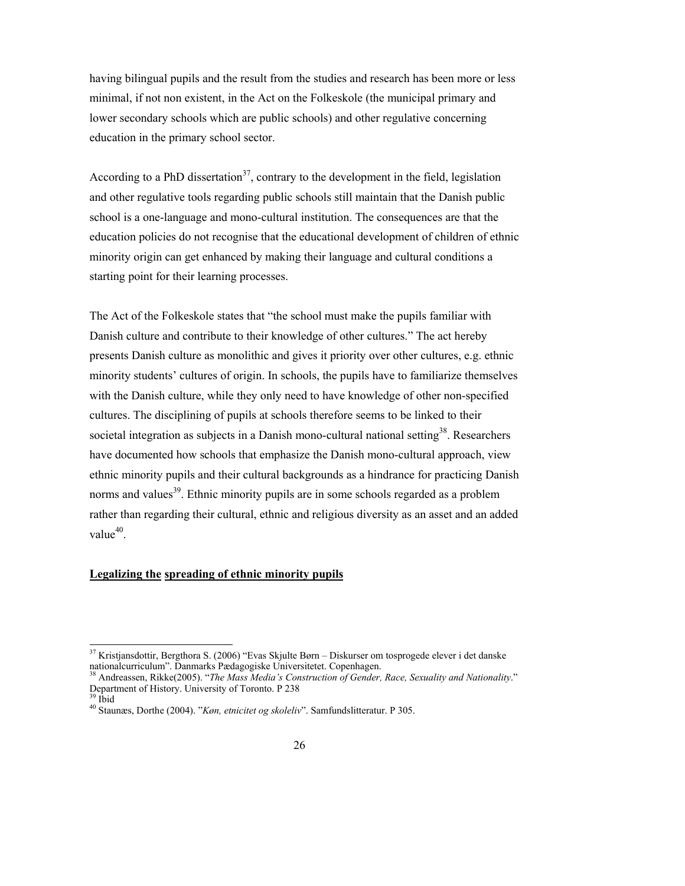having bilingual pupils and the result from the studies and research has been more or less minimal, if not non existent, in the Act on the Folkeskole (the municipal primary and lower secondary schools which are public schools) and other regulative concerning education in the primary school sector.

According to a PhD dissertation<sup>37</sup>, contrary to the development in the field, legislation and other regulative tools regarding public schools still maintain that the Danish public school is a one-language and mono-cultural institution. The consequences are that the education policies do not recognise that the educational development of children of ethnic minority origin can get enhanced by making their language and cultural conditions a starting point for their learning processes.

The Act of the Folkeskole states that "the school must make the pupils familiar with Danish culture and contribute to their knowledge of other cultures." The act hereby presents Danish culture as monolithic and gives it priority over other cultures, e.g. ethnic minority students' cultures of origin. In schools, the pupils have to familiarize themselves with the Danish culture, while they only need to have knowledge of other non-specified cultures. The disciplining of pupils at schools therefore seems to be linked to their societal integration as subjects in a Danish mono-cultural national setting<sup>38</sup>. Researchers have documented how schools that emphasize the Danish mono-cultural approach, view ethnic minority pupils and their cultural backgrounds as a hindrance for practicing Danish norms and values<sup>39</sup>. Ethnic minority pupils are in some schools regarded as a problem rather than regarding their cultural, ethnic and religious diversity as an asset and an added value $40$ .

## **Legalizing the spreading of ethnic minority pupils**

 $\overline{a}$ 

 $37$  Kristjansdottir, Bergthora S. (2006) "Evas Skjulte Børn – Diskurser om tosprogede elever i det danske nationalcurriculum". Danmarks Pædagogiske Universitetet. Copenhagen.

<sup>38</sup> Andreassen, Rikke(2005). "*The Mass Media's Construction of Gender, Race, Sexuality and Nationality*." Department of History. University of Toronto. P 238

<sup>39</sup> Ibid

<sup>40</sup> Staunæs, Dorthe (2004). "*Køn, etnicitet og skoleliv*". Samfundslitteratur. P 305.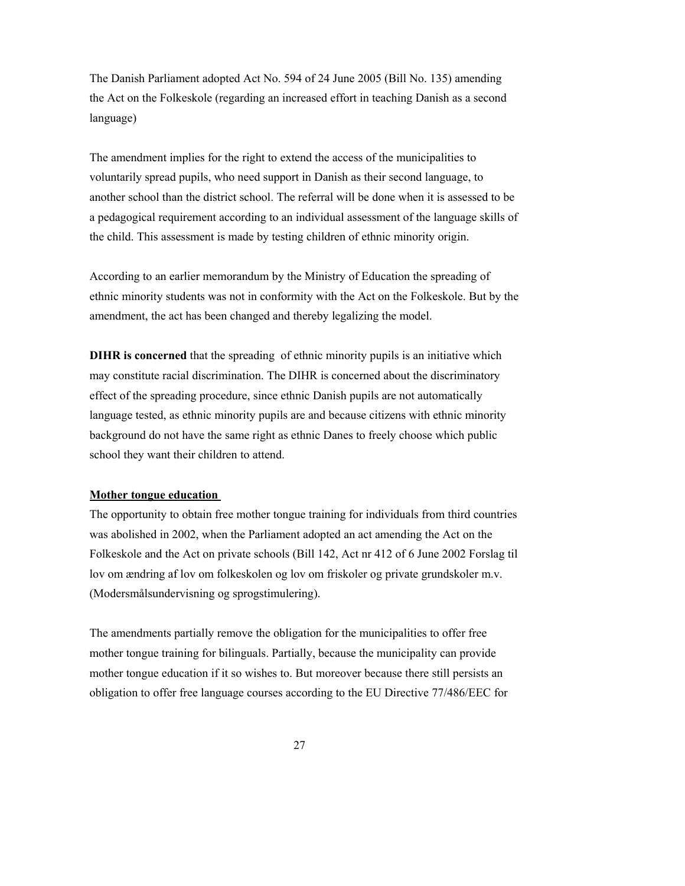The Danish Parliament adopted Act No. 594 of 24 June 2005 (Bill No. 135) amending the Act on the Folkeskole (regarding an increased effort in teaching Danish as a second language)

The amendment implies for the right to extend the access of the municipalities to voluntarily spread pupils, who need support in Danish as their second language, to another school than the district school. The referral will be done when it is assessed to be a pedagogical requirement according to an individual assessment of the language skills of the child. This assessment is made by testing children of ethnic minority origin.

According to an earlier memorandum by the Ministry of Education the spreading of ethnic minority students was not in conformity with the Act on the Folkeskole. But by the amendment, the act has been changed and thereby legalizing the model.

**DIHR** is concerned that the spreading of ethnic minority pupils is an initiative which may constitute racial discrimination. The DIHR is concerned about the discriminatory effect of the spreading procedure, since ethnic Danish pupils are not automatically language tested, as ethnic minority pupils are and because citizens with ethnic minority background do not have the same right as ethnic Danes to freely choose which public school they want their children to attend.

## **Mother tongue education**

The opportunity to obtain free mother tongue training for individuals from third countries was abolished in 2002, when the Parliament adopted an act amending the Act on the Folkeskole and the Act on private schools (Bill 142, Act nr 412 of 6 June 2002 Forslag til lov om ændring af lov om folkeskolen og lov om friskoler og private grundskoler m.v. (Modersmålsundervisning og sprogstimulering).

The amendments partially remove the obligation for the municipalities to offer free mother tongue training for bilinguals. Partially, because the municipality can provide mother tongue education if it so wishes to. But moreover because there still persists an obligation to offer free language courses according to the EU Directive 77/486/EEC for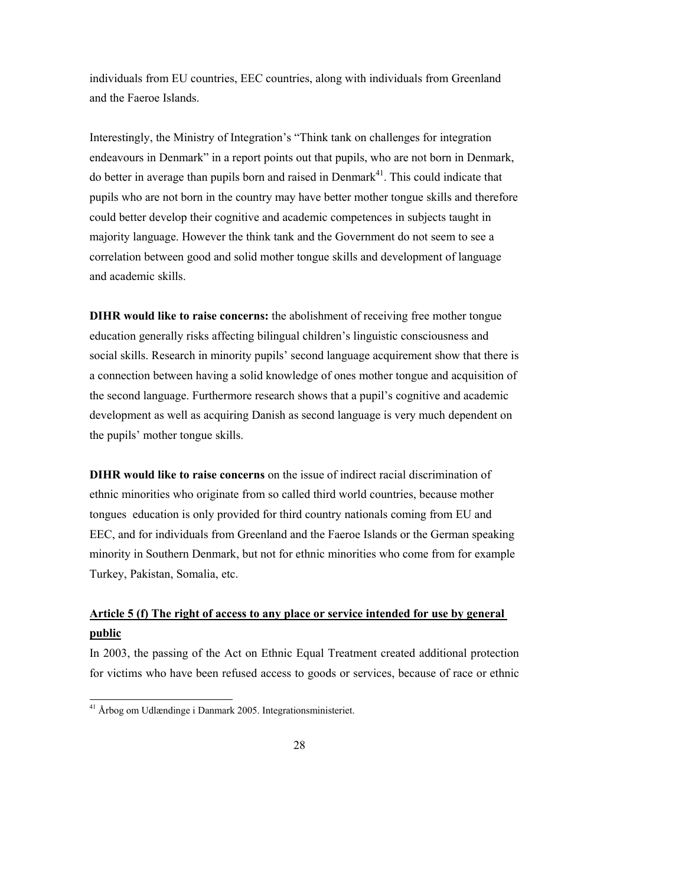individuals from EU countries, EEC countries, along with individuals from Greenland and the Faeroe Islands.

Interestingly, the Ministry of Integration's "Think tank on challenges for integration endeavours in Denmark" in a report points out that pupils, who are not born in Denmark, do better in average than pupils born and raised in Denmark<sup>41</sup>. This could indicate that pupils who are not born in the country may have better mother tongue skills and therefore could better develop their cognitive and academic competences in subjects taught in majority language. However the think tank and the Government do not seem to see a correlation between good and solid mother tongue skills and development of language and academic skills.

**DIHR would like to raise concerns:** the abolishment of receiving free mother tongue education generally risks affecting bilingual children's linguistic consciousness and social skills. Research in minority pupils' second language acquirement show that there is a connection between having a solid knowledge of ones mother tongue and acquisition of the second language. Furthermore research shows that a pupil's cognitive and academic development as well as acquiring Danish as second language is very much dependent on the pupils' mother tongue skills.

**DIHR would like to raise concerns** on the issue of indirect racial discrimination of ethnic minorities who originate from so called third world countries, because mother tongues education is only provided for third country nationals coming from EU and EEC, and for individuals from Greenland and the Faeroe Islands or the German speaking minority in Southern Denmark, but not for ethnic minorities who come from for example Turkey, Pakistan, Somalia, etc.

## **Article 5 (f) The right of access to any place or service intended for use by general public**

In 2003, the passing of the Act on Ethnic Equal Treatment created additional protection for victims who have been refused access to goods or services, because of race or ethnic

l

<sup>&</sup>lt;sup>41</sup> Årbog om Udlændinge i Danmark 2005. Integrationsministeriet.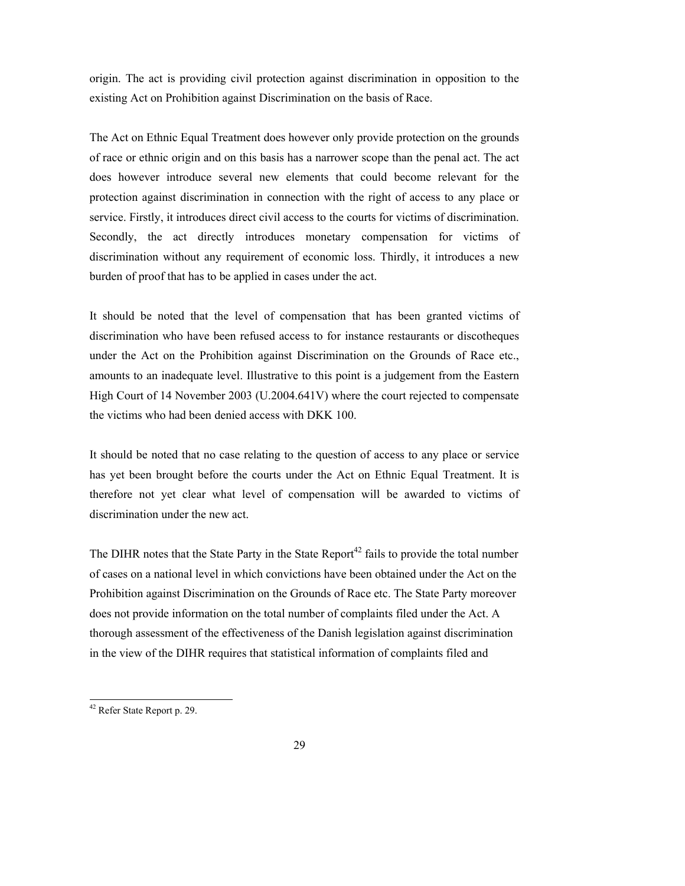origin. The act is providing civil protection against discrimination in opposition to the existing Act on Prohibition against Discrimination on the basis of Race.

The Act on Ethnic Equal Treatment does however only provide protection on the grounds of race or ethnic origin and on this basis has a narrower scope than the penal act. The act does however introduce several new elements that could become relevant for the protection against discrimination in connection with the right of access to any place or service. Firstly, it introduces direct civil access to the courts for victims of discrimination. Secondly, the act directly introduces monetary compensation for victims of discrimination without any requirement of economic loss. Thirdly, it introduces a new burden of proof that has to be applied in cases under the act.

It should be noted that the level of compensation that has been granted victims of discrimination who have been refused access to for instance restaurants or discotheques under the Act on the Prohibition against Discrimination on the Grounds of Race etc., amounts to an inadequate level. Illustrative to this point is a judgement from the Eastern High Court of 14 November 2003 (U.2004.641V) where the court rejected to compensate the victims who had been denied access with DKK 100.

It should be noted that no case relating to the question of access to any place or service has yet been brought before the courts under the Act on Ethnic Equal Treatment. It is therefore not yet clear what level of compensation will be awarded to victims of discrimination under the new act.

The DIHR notes that the State Party in the State Report<sup>42</sup> fails to provide the total number of cases on a national level in which convictions have been obtained under the Act on the Prohibition against Discrimination on the Grounds of Race etc. The State Party moreover does not provide information on the total number of complaints filed under the Act. A thorough assessment of the effectiveness of the Danish legislation against discrimination in the view of the DIHR requires that statistical information of complaints filed and

l

<sup>&</sup>lt;sup>42</sup> Refer State Report p. 29.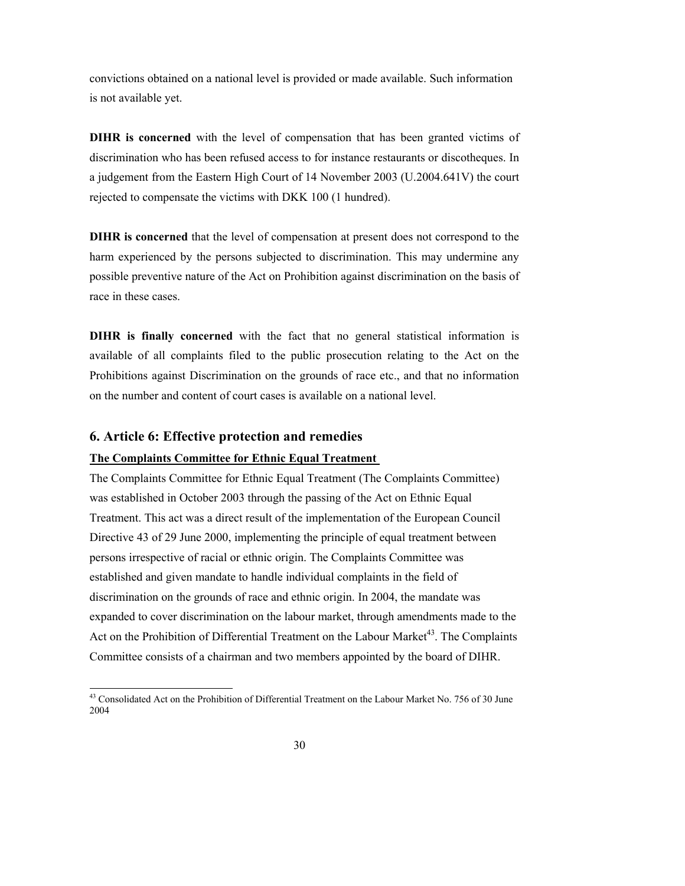convictions obtained on a national level is provided or made available. Such information is not available yet.

**DIHR is concerned** with the level of compensation that has been granted victims of discrimination who has been refused access to for instance restaurants or discotheques. In a judgement from the Eastern High Court of 14 November 2003 (U.2004.641V) the court rejected to compensate the victims with DKK 100 (1 hundred).

**DIHR is concerned** that the level of compensation at present does not correspond to the harm experienced by the persons subjected to discrimination. This may undermine any possible preventive nature of the Act on Prohibition against discrimination on the basis of race in these cases.

**DIHR is finally concerned** with the fact that no general statistical information is available of all complaints filed to the public prosecution relating to the Act on the Prohibitions against Discrimination on the grounds of race etc., and that no information on the number and content of court cases is available on a national level.

#### **6. Article 6: Effective protection and remedies**

 $\overline{a}$ 

#### **The Complaints Committee for Ethnic Equal Treatment**

The Complaints Committee for Ethnic Equal Treatment (The Complaints Committee) was established in October 2003 through the passing of the Act on Ethnic Equal Treatment. This act was a direct result of the implementation of the European Council Directive 43 of 29 June 2000, implementing the principle of equal treatment between persons irrespective of racial or ethnic origin. The Complaints Committee was established and given mandate to handle individual complaints in the field of discrimination on the grounds of race and ethnic origin. In 2004, the mandate was expanded to cover discrimination on the labour market, through amendments made to the Act on the Prohibition of Differential Treatment on the Labour Market<sup>43</sup>. The Complaints Committee consists of a chairman and two members appointed by the board of DIHR.

 $43$  Consolidated Act on the Prohibition of Differential Treatment on the Labour Market No. 756 of 30 June 2004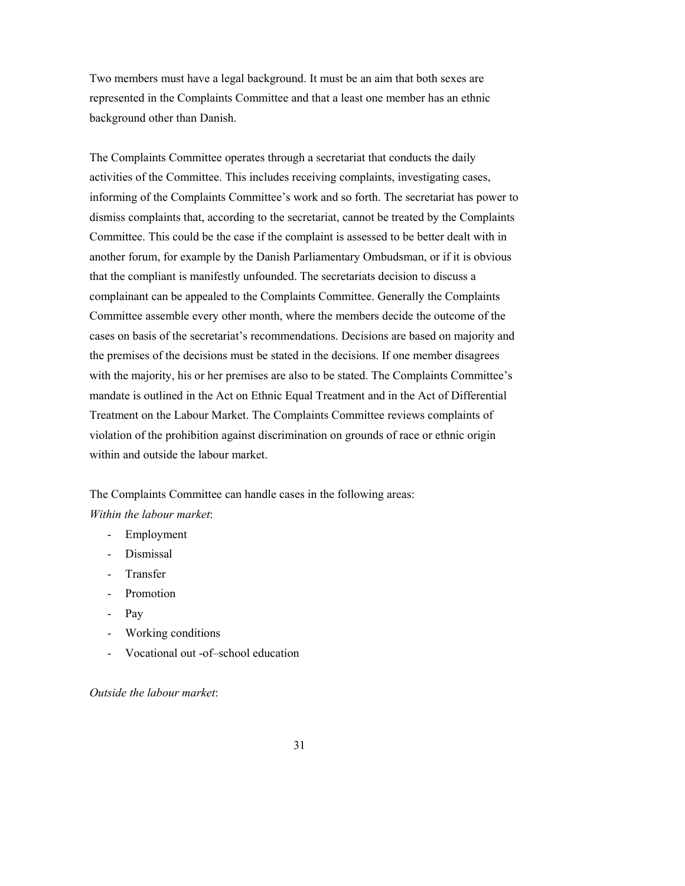Two members must have a legal background. It must be an aim that both sexes are represented in the Complaints Committee and that a least one member has an ethnic background other than Danish.

The Complaints Committee operates through a secretariat that conducts the daily activities of the Committee. This includes receiving complaints, investigating cases, informing of the Complaints Committee's work and so forth. The secretariat has power to dismiss complaints that, according to the secretariat, cannot be treated by the Complaints Committee. This could be the case if the complaint is assessed to be better dealt with in another forum, for example by the Danish Parliamentary Ombudsman, or if it is obvious that the compliant is manifestly unfounded. The secretariats decision to discuss a complainant can be appealed to the Complaints Committee. Generally the Complaints Committee assemble every other month, where the members decide the outcome of the cases on basis of the secretariat's recommendations. Decisions are based on majority and the premises of the decisions must be stated in the decisions. If one member disagrees with the majority, his or her premises are also to be stated. The Complaints Committee's mandate is outlined in the Act on Ethnic Equal Treatment and in the Act of Differential Treatment on the Labour Market. The Complaints Committee reviews complaints of violation of the prohibition against discrimination on grounds of race or ethnic origin within and outside the labour market.

The Complaints Committee can handle cases in the following areas: *Within the labour market*:

#### - Employment

- Dismissal
- Transfer
- Promotion
- Pay
- Working conditions
- Vocational out -of–school education

*Outside the labour market*: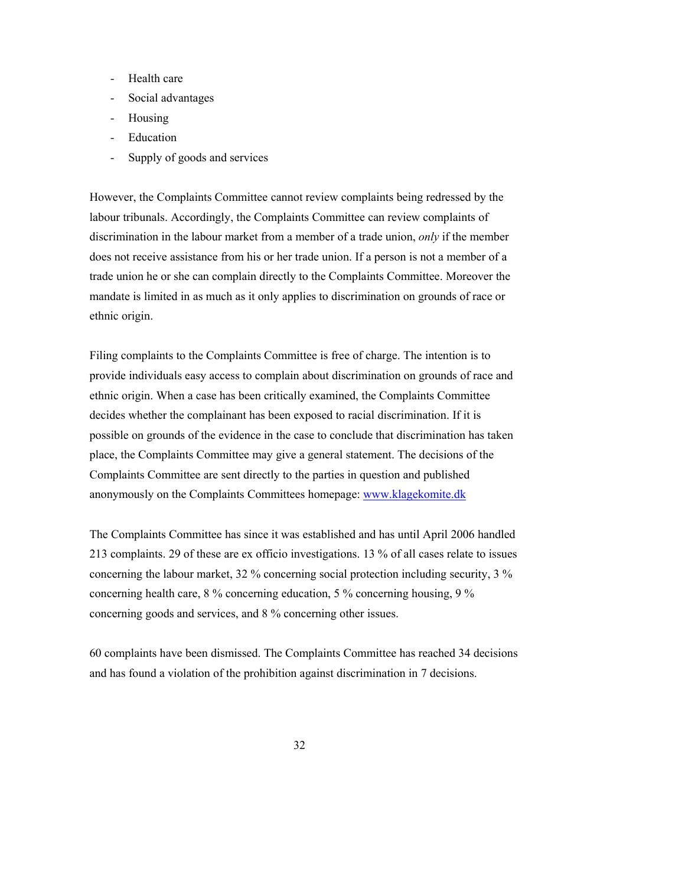- Health care
- Social advantages
- Housing
- **Education**
- Supply of goods and services

However, the Complaints Committee cannot review complaints being redressed by the labour tribunals. Accordingly, the Complaints Committee can review complaints of discrimination in the labour market from a member of a trade union, *only* if the member does not receive assistance from his or her trade union. If a person is not a member of a trade union he or she can complain directly to the Complaints Committee. Moreover the mandate is limited in as much as it only applies to discrimination on grounds of race or ethnic origin.

Filing complaints to the Complaints Committee is free of charge. The intention is to provide individuals easy access to complain about discrimination on grounds of race and ethnic origin. When a case has been critically examined, the Complaints Committee decides whether the complainant has been exposed to racial discrimination. If it is possible on grounds of the evidence in the case to conclude that discrimination has taken place, the Complaints Committee may give a general statement. The decisions of the Complaints Committee are sent directly to the parties in question and published anonymously on the Complaints Committees homepage: www.klagekomite.dk

The Complaints Committee has since it was established and has until April 2006 handled 213 complaints. 29 of these are ex officio investigations. 13 % of all cases relate to issues concerning the labour market, 32 % concerning social protection including security, 3 % concerning health care, 8 % concerning education, 5 % concerning housing, 9 % concerning goods and services, and 8 % concerning other issues.

60 complaints have been dismissed. The Complaints Committee has reached 34 decisions and has found a violation of the prohibition against discrimination in 7 decisions.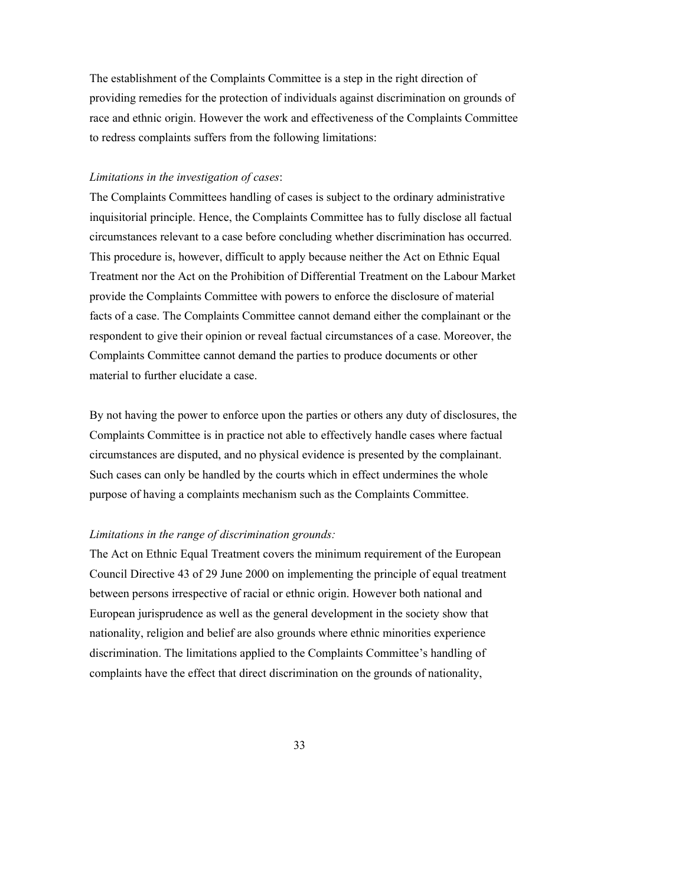The establishment of the Complaints Committee is a step in the right direction of providing remedies for the protection of individuals against discrimination on grounds of race and ethnic origin. However the work and effectiveness of the Complaints Committee to redress complaints suffers from the following limitations:

#### *Limitations in the investigation of cases*:

The Complaints Committees handling of cases is subject to the ordinary administrative inquisitorial principle. Hence, the Complaints Committee has to fully disclose all factual circumstances relevant to a case before concluding whether discrimination has occurred. This procedure is, however, difficult to apply because neither the Act on Ethnic Equal Treatment nor the Act on the Prohibition of Differential Treatment on the Labour Market provide the Complaints Committee with powers to enforce the disclosure of material facts of a case. The Complaints Committee cannot demand either the complainant or the respondent to give their opinion or reveal factual circumstances of a case. Moreover, the Complaints Committee cannot demand the parties to produce documents or other material to further elucidate a case.

By not having the power to enforce upon the parties or others any duty of disclosures, the Complaints Committee is in practice not able to effectively handle cases where factual circumstances are disputed, and no physical evidence is presented by the complainant. Such cases can only be handled by the courts which in effect undermines the whole purpose of having a complaints mechanism such as the Complaints Committee.

#### *Limitations in the range of discrimination grounds:*

The Act on Ethnic Equal Treatment covers the minimum requirement of the European Council Directive 43 of 29 June 2000 on implementing the principle of equal treatment between persons irrespective of racial or ethnic origin. However both national and European jurisprudence as well as the general development in the society show that nationality, religion and belief are also grounds where ethnic minorities experience discrimination. The limitations applied to the Complaints Committee's handling of complaints have the effect that direct discrimination on the grounds of nationality,